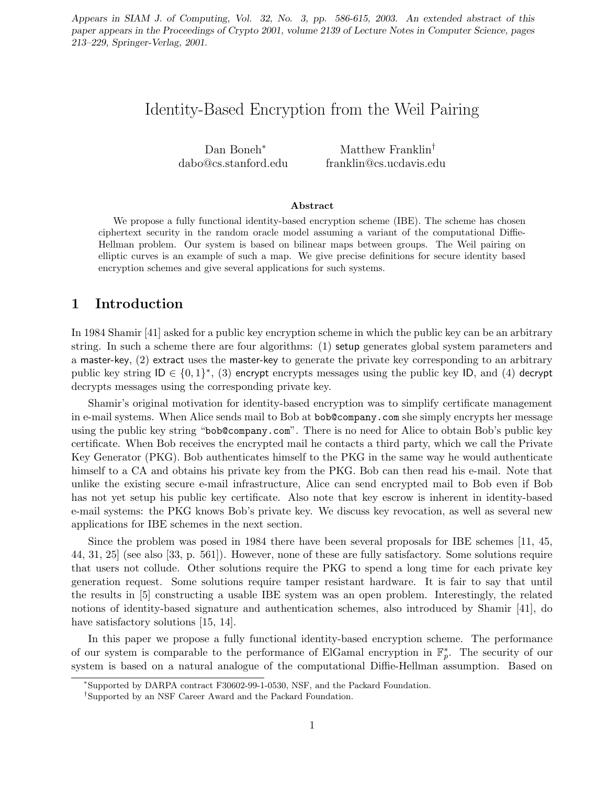Appears in SIAM J. of Computing, Vol. 32, No. 3, pp. 586-615, 2003. An extended abstract of this paper appears in the Proceedings of Crypto 2001, volume 2139 of Lecture Notes in Computer Science, pages 213–229, Springer-Verlag, 2001.

# Identity-Based Encryption from the Weil Pairing

Dan Boneh<sup>∗</sup> Matthew Franklin<sup>†</sup> dabo@cs.stanford.edu franklin@cs.ucdavis.edu

#### Abstract

We propose a fully functional identity-based encryption scheme (IBE). The scheme has chosen ciphertext security in the random oracle model assuming a variant of the computational Diffie-Hellman problem. Our system is based on bilinear maps between groups. The Weil pairing on elliptic curves is an example of such a map. We give precise definitions for secure identity based encryption schemes and give several applications for such systems.

# 1 Introduction

In 1984 Shamir [41] asked for a public key encryption scheme in which the public key can be an arbitrary string. In such a scheme there are four algorithms: (1) setup generates global system parameters and a master-key, (2) extract uses the master-key to generate the private key corresponding to an arbitrary public key string  $ID \in \{0,1\}^*$ , (3) encrypt encrypts messages using the public key ID, and (4) decrypt decrypts messages using the corresponding private key.

Shamir's original motivation for identity-based encryption was to simplify certificate management in e-mail systems. When Alice sends mail to Bob at bob@company.com she simply encrypts her message using the public key string "bob@company.com". There is no need for Alice to obtain Bob's public key certificate. When Bob receives the encrypted mail he contacts a third party, which we call the Private Key Generator (PKG). Bob authenticates himself to the PKG in the same way he would authenticate himself to a CA and obtains his private key from the PKG. Bob can then read his e-mail. Note that unlike the existing secure e-mail infrastructure, Alice can send encrypted mail to Bob even if Bob has not yet setup his public key certificate. Also note that key escrow is inherent in identity-based e-mail systems: the PKG knows Bob's private key. We discuss key revocation, as well as several new applications for IBE schemes in the next section.

Since the problem was posed in 1984 there have been several proposals for IBE schemes [11, 45, 44, 31, 25] (see also [33, p. 561]). However, none of these are fully satisfactory. Some solutions require that users not collude. Other solutions require the PKG to spend a long time for each private key generation request. Some solutions require tamper resistant hardware. It is fair to say that until the results in [5] constructing a usable IBE system was an open problem. Interestingly, the related notions of identity-based signature and authentication schemes, also introduced by Shamir [41], do have satisfactory solutions [15, 14].

In this paper we propose a fully functional identity-based encryption scheme. The performance of our system is comparable to the performance of ElGamal encryption in  $\mathbb{F}_p^*$ . The security of our system is based on a natural analogue of the computational Diffie-Hellman assumption. Based on

<sup>∗</sup>Supported by DARPA contract F30602-99-1-0530, NSF, and the Packard Foundation.

<sup>†</sup>Supported by an NSF Career Award and the Packard Foundation.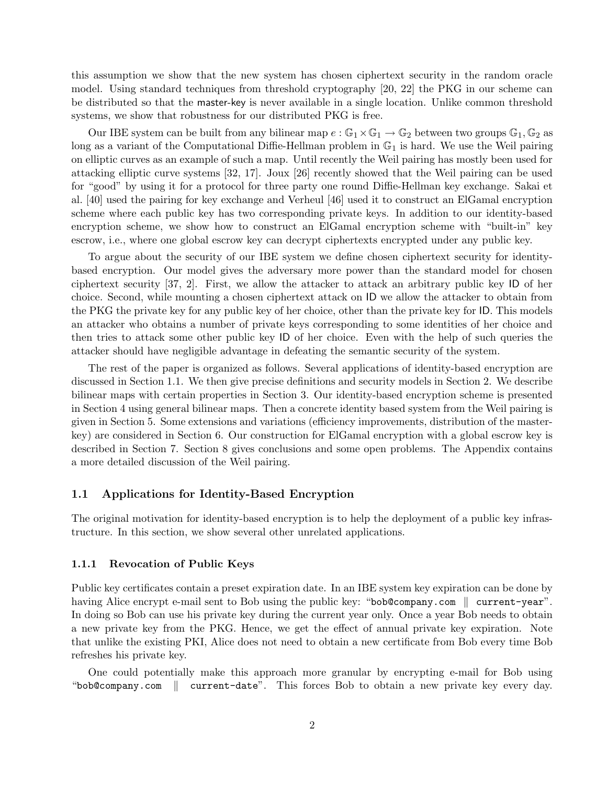this assumption we show that the new system has chosen ciphertext security in the random oracle model. Using standard techniques from threshold cryptography [20, 22] the PKG in our scheme can be distributed so that the master-key is never available in a single location. Unlike common threshold systems, we show that robustness for our distributed PKG is free.

Our IBE system can be built from any bilinear map  $e:\mathbb{G}_1\times\mathbb{G}_1\to\mathbb{G}_2$  between two groups  $\mathbb{G}_1,\mathbb{G}_2$  as long as a variant of the Computational Diffie-Hellman problem in  $\mathbb{G}_1$  is hard. We use the Weil pairing on elliptic curves as an example of such a map. Until recently the Weil pairing has mostly been used for attacking elliptic curve systems [32, 17]. Joux [26] recently showed that the Weil pairing can be used for "good" by using it for a protocol for three party one round Diffie-Hellman key exchange. Sakai et al. [40] used the pairing for key exchange and Verheul [46] used it to construct an ElGamal encryption scheme where each public key has two corresponding private keys. In addition to our identity-based encryption scheme, we show how to construct an ElGamal encryption scheme with "built-in" key escrow, i.e., where one global escrow key can decrypt ciphertexts encrypted under any public key.

To argue about the security of our IBE system we define chosen ciphertext security for identitybased encryption. Our model gives the adversary more power than the standard model for chosen ciphertext security [37, 2]. First, we allow the attacker to attack an arbitrary public key ID of her choice. Second, while mounting a chosen ciphertext attack on ID we allow the attacker to obtain from the PKG the private key for any public key of her choice, other than the private key for ID. This models an attacker who obtains a number of private keys corresponding to some identities of her choice and then tries to attack some other public key ID of her choice. Even with the help of such queries the attacker should have negligible advantage in defeating the semantic security of the system.

The rest of the paper is organized as follows. Several applications of identity-based encryption are discussed in Section 1.1. We then give precise definitions and security models in Section 2. We describe bilinear maps with certain properties in Section 3. Our identity-based encryption scheme is presented in Section 4 using general bilinear maps. Then a concrete identity based system from the Weil pairing is given in Section 5. Some extensions and variations (efficiency improvements, distribution of the masterkey) are considered in Section 6. Our construction for ElGamal encryption with a global escrow key is described in Section 7. Section 8 gives conclusions and some open problems. The Appendix contains a more detailed discussion of the Weil pairing.

#### 1.1 Applications for Identity-Based Encryption

The original motivation for identity-based encryption is to help the deployment of a public key infrastructure. In this section, we show several other unrelated applications.

#### 1.1.1 Revocation of Public Keys

Public key certificates contain a preset expiration date. In an IBE system key expiration can be done by having Alice encrypt e-mail sent to Bob using the public key: "bob@company.com  $\parallel$  current-year". In doing so Bob can use his private key during the current year only. Once a year Bob needs to obtain a new private key from the PKG. Hence, we get the effect of annual private key expiration. Note that unlike the existing PKI, Alice does not need to obtain a new certificate from Bob every time Bob refreshes his private key.

One could potentially make this approach more granular by encrypting e-mail for Bob using "bob@company.com | current-date". This forces Bob to obtain a new private key every day.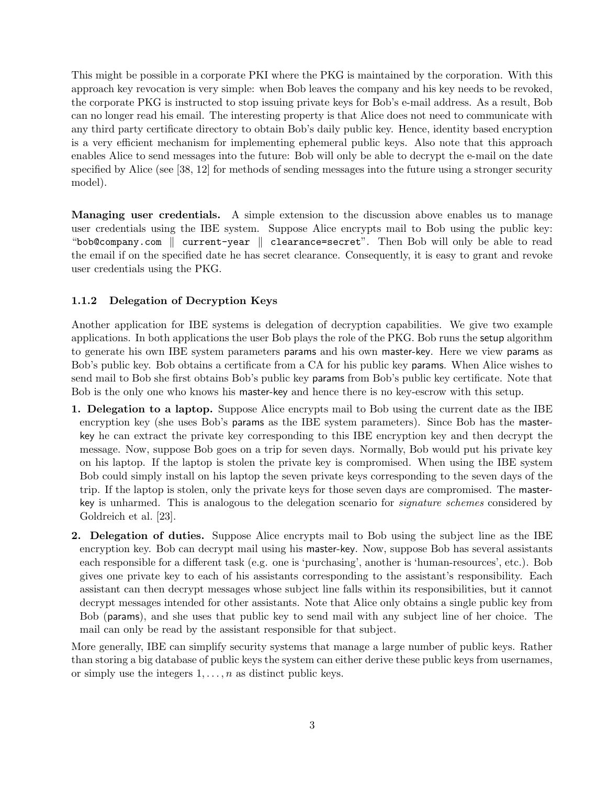This might be possible in a corporate PKI where the PKG is maintained by the corporation. With this approach key revocation is very simple: when Bob leaves the company and his key needs to be revoked, the corporate PKG is instructed to stop issuing private keys for Bob's e-mail address. As a result, Bob can no longer read his email. The interesting property is that Alice does not need to communicate with any third party certificate directory to obtain Bob's daily public key. Hence, identity based encryption is a very efficient mechanism for implementing ephemeral public keys. Also note that this approach enables Alice to send messages into the future: Bob will only be able to decrypt the e-mail on the date specified by Alice (see [38, 12] for methods of sending messages into the future using a stronger security model).

Managing user credentials. A simple extension to the discussion above enables us to manage user credentials using the IBE system. Suppose Alice encrypts mail to Bob using the public key: "bob@company.com  $\parallel$  current-year  $\parallel$  clearance=secret". Then Bob will only be able to read the email if on the specified date he has secret clearance. Consequently, it is easy to grant and revoke user credentials using the PKG.

### 1.1.2 Delegation of Decryption Keys

Another application for IBE systems is delegation of decryption capabilities. We give two example applications. In both applications the user Bob plays the role of the PKG. Bob runs the setup algorithm to generate his own IBE system parameters params and his own master-key. Here we view params as Bob's public key. Bob obtains a certificate from a CA for his public key params. When Alice wishes to send mail to Bob she first obtains Bob's public key params from Bob's public key certificate. Note that Bob is the only one who knows his master-key and hence there is no key-escrow with this setup.

- 1. Delegation to a laptop. Suppose Alice encrypts mail to Bob using the current date as the IBE encryption key (she uses Bob's params as the IBE system parameters). Since Bob has the masterkey he can extract the private key corresponding to this IBE encryption key and then decrypt the message. Now, suppose Bob goes on a trip for seven days. Normally, Bob would put his private key on his laptop. If the laptop is stolen the private key is compromised. When using the IBE system Bob could simply install on his laptop the seven private keys corresponding to the seven days of the trip. If the laptop is stolen, only the private keys for those seven days are compromised. The masterkey is unharmed. This is analogous to the delegation scenario for signature schemes considered by Goldreich et al. [23].
- 2. Delegation of duties. Suppose Alice encrypts mail to Bob using the subject line as the IBE encryption key. Bob can decrypt mail using his master-key. Now, suppose Bob has several assistants each responsible for a different task (e.g. one is 'purchasing', another is 'human-resources', etc.). Bob gives one private key to each of his assistants corresponding to the assistant's responsibility. Each assistant can then decrypt messages whose subject line falls within its responsibilities, but it cannot decrypt messages intended for other assistants. Note that Alice only obtains a single public key from Bob (params), and she uses that public key to send mail with any subject line of her choice. The mail can only be read by the assistant responsible for that subject.

More generally, IBE can simplify security systems that manage a large number of public keys. Rather than storing a big database of public keys the system can either derive these public keys from usernames, or simply use the integers  $1, \ldots, n$  as distinct public keys.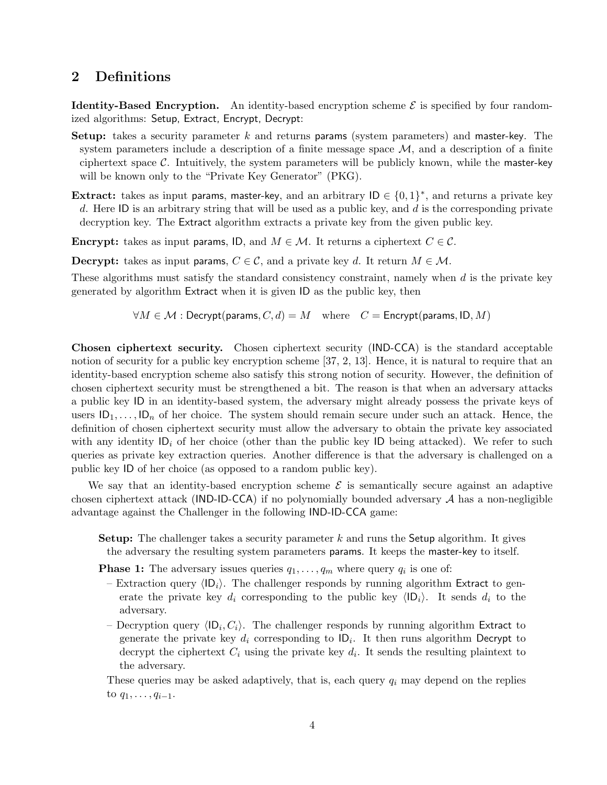## 2 Definitions

**Identity-Based Encryption.** An identity-based encryption scheme  $\mathcal{E}$  is specified by four randomized algorithms: Setup, Extract, Encrypt, Decrypt:

- **Setup:** takes a security parameter k and returns params (system parameters) and master-key. The system parameters include a description of a finite message space  $\mathcal{M}$ , and a description of a finite ciphertext space  $C$ . Intuitively, the system parameters will be publicly known, while the master-key will be known only to the "Private Key Generator" (PKG).
- Extract: takes as input params, master-key, and an arbitrary  $ID \in \{0,1\}^*$ , and returns a private key d. Here ID is an arbitrary string that will be used as a public key, and  $d$  is the corresponding private decryption key. The Extract algorithm extracts a private key from the given public key.

**Encrypt:** takes as input params, ID, and  $M \in \mathcal{M}$ . It returns a ciphertext  $C \in \mathcal{C}$ .

**Decrypt:** takes as input params,  $C \in \mathcal{C}$ , and a private key d. It return  $M \in \mathcal{M}$ .

These algorithms must satisfy the standard consistency constraint, namely when  $d$  is the private key generated by algorithm Extract when it is given ID as the public key, then

 $\forall M \in \mathcal{M} :$  Decrypt(params,  $C, d$ ) = M where  $C =$  Encrypt(params, ID, M)

Chosen ciphertext security. Chosen ciphertext security (IND-CCA) is the standard acceptable notion of security for a public key encryption scheme [37, 2, 13]. Hence, it is natural to require that an identity-based encryption scheme also satisfy this strong notion of security. However, the definition of chosen ciphertext security must be strengthened a bit. The reason is that when an adversary attacks a public key ID in an identity-based system, the adversary might already possess the private keys of users  $ID_1, \ldots, ID_n$  of her choice. The system should remain secure under such an attack. Hence, the definition of chosen ciphertext security must allow the adversary to obtain the private key associated with any identity  $|D_i|$  of her choice (other than the public key  $|D|$  being attacked). We refer to such queries as private key extraction queries. Another difference is that the adversary is challenged on a public key ID of her choice (as opposed to a random public key).

We say that an identity-based encryption scheme  $\mathcal E$  is semantically secure against an adaptive chosen ciphertext attack (IND-ID-CCA) if no polynomially bounded adversary  $A$  has a non-negligible advantage against the Challenger in the following IND-ID-CCA game:

**Setup:** The challenger takes a security parameter k and runs the Setup algorithm. It gives the adversary the resulting system parameters params. It keeps the master-key to itself.

**Phase 1:** The adversary issues queries  $q_1, \ldots, q_m$  where query  $q_i$  is one of:

- Extraction query  $\langle \mathsf{ID}_i \rangle$ . The challenger responds by running algorithm Extract to generate the private key  $d_i$  corresponding to the public key  $\langle \mathsf{ID}_i \rangle$ . It sends  $d_i$  to the adversary.
- Decryption query  $\langle \mathsf{ID}_i, C_i \rangle$ . The challenger responds by running algorithm Extract to generate the private key  $d_i$  corresponding to  $\mathsf{ID}_i$ . It then runs algorithm Decrypt to decrypt the ciphertext  $C_i$  using the private key  $d_i$ . It sends the resulting plaintext to the adversary.

These queries may be asked adaptively, that is, each query  $q_i$  may depend on the replies to  $q_1, \ldots, q_{i-1}$ .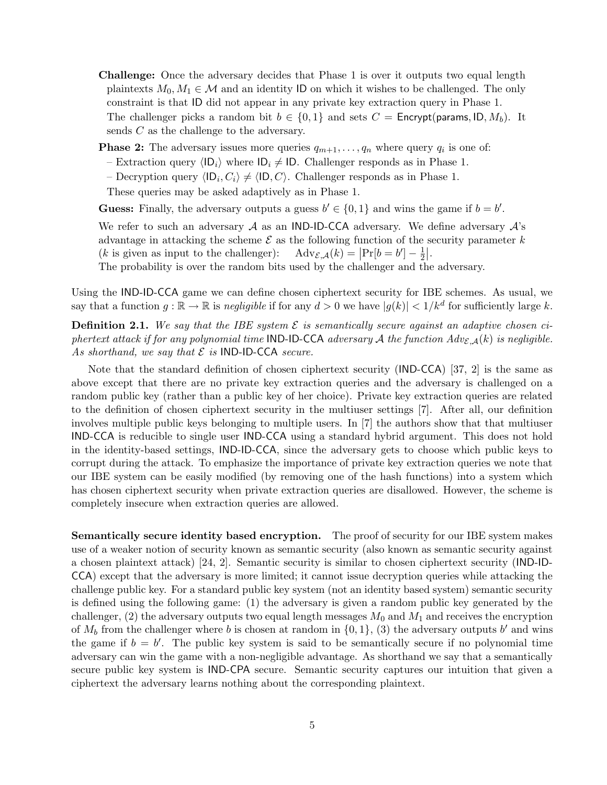Challenge: Once the adversary decides that Phase 1 is over it outputs two equal length plaintexts  $M_0, M_1 \in \mathcal{M}$  and an identity ID on which it wishes to be challenged. The only constraint is that ID did not appear in any private key extraction query in Phase 1. The challenger picks a random bit  $b \in \{0,1\}$  and sets  $C =$  Encrypt(params, ID,  $M_b$ ). It sends C as the challenge to the adversary.

**Phase 2:** The adversary issues more queries  $q_{m+1}, \ldots, q_n$  where query  $q_i$  is one of:

- Extraction query  $\langle \mathsf{ID}_i \rangle$  where  $\mathsf{ID}_i \neq \mathsf{ID}$ . Challenger responds as in Phase 1.
- Decryption query  $\langle \mathsf{ID}_i, C_i \rangle \neq \langle \mathsf{ID}, C \rangle$ . Challenger responds as in Phase 1.
- These queries may be asked adaptively as in Phase 1.

**Guess:** Finally, the adversary outputs a guess  $b' \in \{0, 1\}$  and wins the game if  $b = b'$ .

We refer to such an adversary  $\mathcal A$  as an IND-ID-CCA adversary. We define adversary  $\mathcal A$ 's advantage in attacking the scheme  $\mathcal E$  as the following function of the security parameter k  $(k \text{ is given as input to the challenge})$ :  $\Pr[b = b'] - \frac{1}{2}$  $\frac{1}{2}$ .

The probability is over the random bits used by the challenger and the adversary.

Using the IND-ID-CCA game we can define chosen ciphertext security for IBE schemes. As usual, we say that a function  $g : \mathbb{R} \to \mathbb{R}$  is negligible if for any  $d > 0$  we have  $|g(k)| < 1/k^d$  for sufficiently large k.

**Definition 2.1.** We say that the IBE system  $\mathcal E$  is semantically secure against an adaptive chosen ciphertext attack if for any polynomial time IND-ID-CCA adversary A the function  $Adv_{\mathcal{E},\mathcal{A}}(k)$  is negligible. As shorthand, we say that  $\mathcal E$  is IND-ID-CCA secure.

Note that the standard definition of chosen ciphertext security (IND-CCA) [37, 2] is the same as above except that there are no private key extraction queries and the adversary is challenged on a random public key (rather than a public key of her choice). Private key extraction queries are related to the definition of chosen ciphertext security in the multiuser settings [7]. After all, our definition involves multiple public keys belonging to multiple users. In [7] the authors show that that multiuser IND-CCA is reducible to single user IND-CCA using a standard hybrid argument. This does not hold in the identity-based settings, IND-ID-CCA, since the adversary gets to choose which public keys to corrupt during the attack. To emphasize the importance of private key extraction queries we note that our IBE system can be easily modified (by removing one of the hash functions) into a system which has chosen ciphertext security when private extraction queries are disallowed. However, the scheme is completely insecure when extraction queries are allowed.

Semantically secure identity based encryption. The proof of security for our IBE system makes use of a weaker notion of security known as semantic security (also known as semantic security against a chosen plaintext attack) [24, 2]. Semantic security is similar to chosen ciphertext security (IND-ID-CCA) except that the adversary is more limited; it cannot issue decryption queries while attacking the challenge public key. For a standard public key system (not an identity based system) semantic security is defined using the following game: (1) the adversary is given a random public key generated by the challenger, (2) the adversary outputs two equal length messages  $M_0$  and  $M_1$  and receives the encryption of  $M_b$  from the challenger where b is chosen at random in  $\{0,1\}$ ,  $(3)$  the adversary outputs b' and wins the game if  $b = b'$ . The public key system is said to be semantically secure if no polynomial time adversary can win the game with a non-negligible advantage. As shorthand we say that a semantically secure public key system is IND-CPA secure. Semantic security captures our intuition that given a ciphertext the adversary learns nothing about the corresponding plaintext.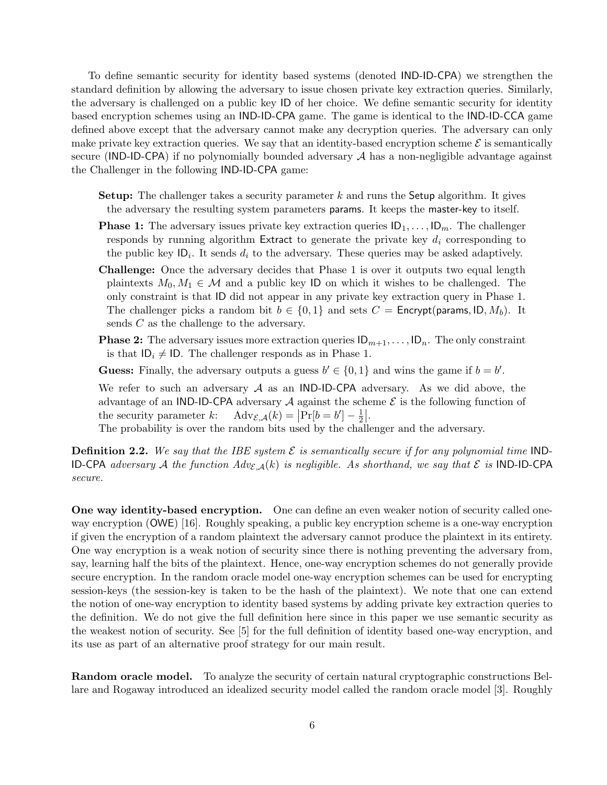To define semantic security for identity based systems (denoted IND-ID-CPA) we strengthen the standard definition by allowing the adversary to issue chosen private key extraction queries. Similarly, the adversary is challenged on a public key ID of her choice. We define semantic security for identity based encryption schemes using an IND-ID-CPA game. The game is identical to the IND-ID-CCA game defined above except that the adversary cannot make any decryption queries. The adversary can only make private key extraction queries. We say that an identity-based encryption scheme  $\mathcal E$  is semantically secure (IND-ID-CPA) if no polynomially bounded adversary  $A$  has a non-negligible advantage against the Challenger in the following IND-ID-CPA game:

- **Setup:** The challenger takes a security parameter  $k$  and runs the Setup algorithm. It gives the adversary the resulting system parameters params. It keeps the master-key to itself.
- **Phase 1:** The adversary issues private key extraction queries  $\mathsf{ID}_1, \ldots, \mathsf{ID}_m$ . The challenger responds by running algorithm Extract to generate the private key  $d_i$  corresponding to the public key  $\mathsf{ID}_i$ . It sends  $d_i$  to the adversary. These queries may be asked adaptively.
- Challenge: Once the adversary decides that Phase 1 is over it outputs two equal length plaintexts  $M_0, M_1 \in \mathcal{M}$  and a public key ID on which it wishes to be challenged. The only constraint is that ID did not appear in any private key extraction query in Phase 1. The challenger picks a random bit  $b \in \{0,1\}$  and sets  $C =$  Encrypt(params, ID,  $M_b$ ). It sends  $C$  as the challenge to the adversary.
- **Phase 2:** The adversary issues more extraction queries  $\mathsf{ID}_{m+1}, \ldots, \mathsf{ID}_n$ . The only constraint is that  $ID_i \neq ID$ . The challenger responds as in Phase 1.

**Guess:** Finally, the adversary outputs a guess  $b' \in \{0, 1\}$  and wins the game if  $b = b'$ .

We refer to such an adversary  $\mathcal A$  as an IND-ID-CPA adversary. As we did above, the advantage of an IND-ID-CPA adversary A against the scheme  $\mathcal E$  is the following function of the security parameter  $k$ :  $\Pr[b = b'] - \frac{1}{2}$  $\frac{1}{2}$ .

The probability is over the random bits used by the challenger and the adversary.

**Definition 2.2.** We say that the IBE system  $\mathcal E$  is semantically secure if for any polynomial time IND-ID-CPA adversary A the function  $Adv_{\mathcal{E},\mathcal{A}}(k)$  is negligible. As shorthand, we say that  $\mathcal E$  is IND-ID-CPA secure.

One way identity-based encryption. One can define an even weaker notion of security called oneway encryption (OWE) [16]. Roughly speaking, a public key encryption scheme is a one-way encryption if given the encryption of a random plaintext the adversary cannot produce the plaintext in its entirety. One way encryption is a weak notion of security since there is nothing preventing the adversary from, say, learning half the bits of the plaintext. Hence, one-way encryption schemes do not generally provide secure encryption. In the random oracle model one-way encryption schemes can be used for encrypting session-keys (the session-key is taken to be the hash of the plaintext). We note that one can extend the notion of one-way encryption to identity based systems by adding private key extraction queries to the definition. We do not give the full definition here since in this paper we use semantic security as the weakest notion of security. See [5] for the full definition of identity based one-way encryption, and its use as part of an alternative proof strategy for our main result.

Random oracle model. To analyze the security of certain natural cryptographic constructions Bellare and Rogaway introduced an idealized security model called the random oracle model [3]. Roughly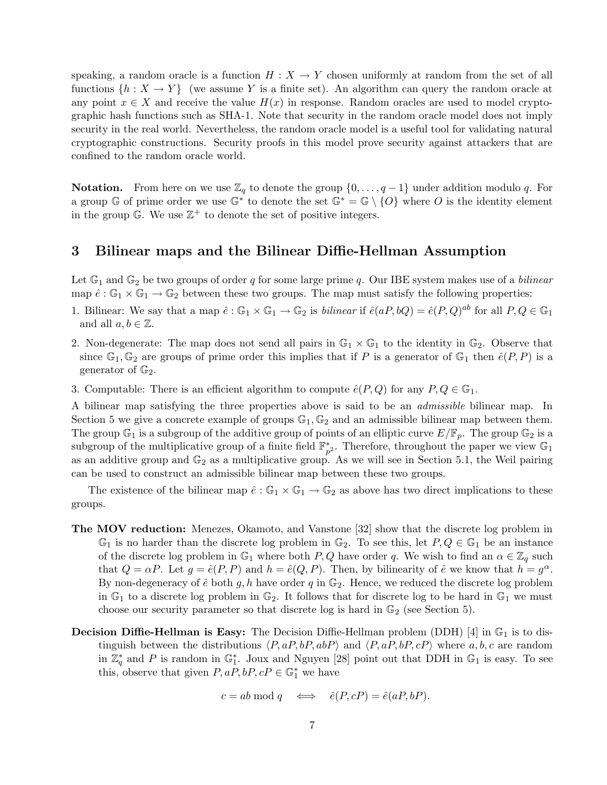speaking, a random oracle is a function  $H : X \to Y$  chosen uniformly at random from the set of all functions  $\{h: X \to Y\}$  (we assume Y is a finite set). An algorithm can query the random oracle at any point  $x \in X$  and receive the value  $H(x)$  in response. Random oracles are used to model cryptographic hash functions such as SHA-1. Note that security in the random oracle model does not imply security in the real world. Nevertheless, the random oracle model is a useful tool for validating natural cryptographic constructions. Security proofs in this model prove security against attackers that are confined to the random oracle world.

**Notation.** From here on we use  $\mathbb{Z}_q$  to denote the group  $\{0, \ldots, q-1\}$  under addition modulo q. For a group G of prime order we use  $\mathbb{G}^*$  to denote the set  $\mathbb{G}^* = \mathbb{G} \setminus \{O\}$  where O is the identity element in the group  $\mathbb{G}$ . We use  $\mathbb{Z}^+$  to denote the set of positive integers.

### 3 Bilinear maps and the Bilinear Diffie-Hellman Assumption

Let  $\mathbb{G}_1$  and  $\mathbb{G}_2$  be two groups of order q for some large prime q. Our IBE system makes use of a *bilinear* map  $\hat{e} : \mathbb{G}_1 \times \mathbb{G}_1 \to \mathbb{G}_2$  between these two groups. The map must satisfy the following properties:

- 1. Bilinear: We say that a map  $\hat{e}: \mathbb{G}_1 \times \mathbb{G}_1 \to \mathbb{G}_2$  is *bilinear* if  $\hat{e}(aP, bQ) = \hat{e}(P, Q)^{ab}$  for all  $P, Q \in \mathbb{G}_1$ and all  $a, b \in \mathbb{Z}$ .
- 2. Non-degenerate: The map does not send all pairs in  $\mathbb{G}_1 \times \mathbb{G}_1$  to the identity in  $\mathbb{G}_2$ . Observe that since  $\mathbb{G}_1, \mathbb{G}_2$  are groups of prime order this implies that if P is a generator of  $\mathbb{G}_1$  then  $\hat{e}(P, P)$  is a generator of  $\mathbb{G}_2$ .
- 3. Computable: There is an efficient algorithm to compute  $\hat{e}(P,Q)$  for any  $P,Q \in \mathbb{G}_1$ .

A bilinear map satisfying the three properties above is said to be an admissible bilinear map. In Section 5 we give a concrete example of groups  $\mathbb{G}_1, \mathbb{G}_2$  and an admissible bilinear map between them. The group  $\mathbb{G}_1$  is a subgroup of the additive group of points of an elliptic curve  $E/\mathbb{F}_p$ . The group  $\mathbb{G}_2$  is a subgroup of the multiplicative group of a finite field  $\mathbb{F}_{p^2}^*$ . Therefore, throughout the paper we view  $\mathbb{G}_1$ as an additive group and  $\mathbb{G}_2$  as a multiplicative group. As we will see in Section 5.1, the Weil pairing can be used to construct an admissible bilinear map between these two groups.

The existence of the bilinear map  $\hat{e} : \mathbb{G}_1 \times \mathbb{G}_1 \to \mathbb{G}_2$  as above has two direct implications to these groups.

- The MOV reduction: Menezes, Okamoto, and Vanstone [32] show that the discrete log problem in  $\mathbb{G}_1$  is no harder than the discrete log problem in  $\mathbb{G}_2$ . To see this, let  $P, Q \in \mathbb{G}_1$  be an instance of the discrete log problem in  $\mathbb{G}_1$  where both P, Q have order q. We wish to find an  $\alpha \in \mathbb{Z}_q$  such that  $Q = \alpha P$ . Let  $g = \hat{e}(P, P)$  and  $h = \hat{e}(Q, P)$ . Then, by bilinearity of  $\hat{e}$  we know that  $h = g^{\alpha}$ . By non-degeneracy of  $\hat{e}$  both g, h have order q in  $\mathbb{G}_2$ . Hence, we reduced the discrete log problem in  $\mathbb{G}_1$  to a discrete log problem in  $\mathbb{G}_2$ . It follows that for discrete log to be hard in  $\mathbb{G}_1$  we must choose our security parameter so that discrete log is hard in  $\mathbb{G}_2$  (see Section 5).
- **Decision Diffie-Hellman is Easy:** The Decision Diffie-Hellman problem (DDH) [4] in  $\mathbb{G}_1$  is to distinguish between the distributions  $\langle P, aP, bP, abP \rangle$  and  $\langle P, aP, bP, cP \rangle$  where a, b, c are random in  $\mathbb{Z}_q^*$  and P is random in  $\mathbb{G}_1^*$ . Joux and Nguyen [28] point out that DDH in  $\mathbb{G}_1$  is easy. To see this, observe that given  $P, aP, bP, cP \in \mathbb{G}_1^*$  we have

$$
c = ab \mod q \iff \hat{e}(P, cP) = \hat{e}(aP, bP).
$$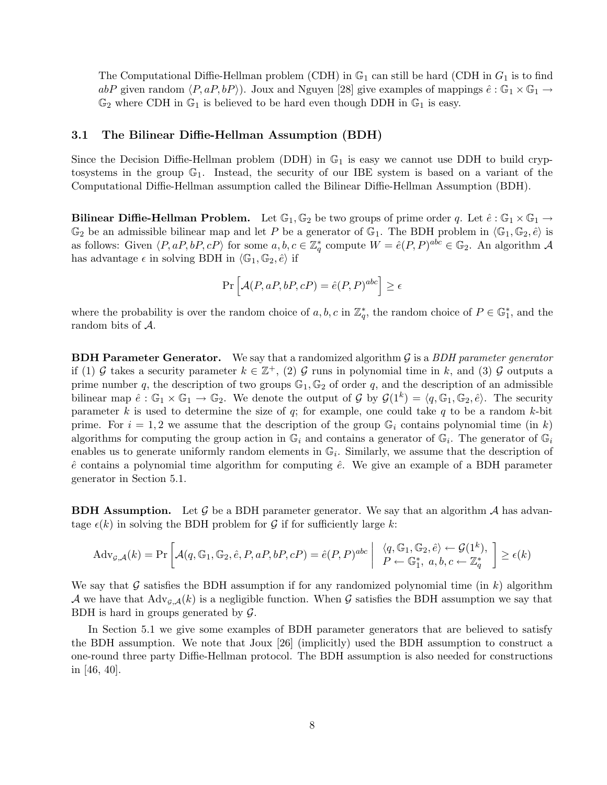The Computational Diffie-Hellman problem (CDH) in  $\mathbb{G}_1$  can still be hard (CDH in  $G_1$  is to find abP given random  $\langle P, aP, bP \rangle$ . Joux and Nguyen [28] give examples of mappings  $\hat{e} : \mathbb{G}_1 \times \mathbb{G}_1 \to$  $\mathbb{G}_2$  where CDH in  $\mathbb{G}_1$  is believed to be hard even though DDH in  $\mathbb{G}_1$  is easy.

#### 3.1 The Bilinear Diffie-Hellman Assumption (BDH)

Since the Decision Diffie-Hellman problem (DDH) in  $\mathbb{G}_1$  is easy we cannot use DDH to build cryptosystems in the group  $\mathbb{G}_1$ . Instead, the security of our IBE system is based on a variant of the Computational Diffie-Hellman assumption called the Bilinear Diffie-Hellman Assumption (BDH).

**Bilinear Diffie-Hellman Problem.** Let  $\mathbb{G}_1, \mathbb{G}_2$  be two groups of prime order q. Let  $\hat{e}: \mathbb{G}_1 \times \mathbb{G}_1 \to$  $\mathbb{G}_2$  be an admissible bilinear map and let P be a generator of  $\mathbb{G}_1$ . The BDH problem in  $\langle \mathbb{G}_1, \mathbb{G}_2, \hat{e} \rangle$  is as follows: Given  $\langle P, aP, bP, cP \rangle$  for some  $a, b, c \in \mathbb{Z}_q^*$  compute  $W = \hat{e}(P, P)^{abc} \in \mathbb{G}_2$ . An algorithm  $\mathcal A$ has advantage  $\epsilon$  in solving BDH in  $\langle \mathbb{G}_1, \mathbb{G}_2, \hat{e} \rangle$  if

$$
\Pr\left[\mathcal{A}(P, aP, bP, cP) = \hat{e}(P, P)^{abc}\right] \ge \epsilon
$$

where the probability is over the random choice of  $a, b, c$  in  $\mathbb{Z}_q^*$ , the random choice of  $P \in \mathbb{G}_1^*$ , and the random bits of A.

**BDH Parameter Generator.** We say that a randomized algorithm  $\mathcal{G}$  is a BDH parameter generator if (1) G takes a security parameter  $k \in \mathbb{Z}^+$ , (2) G runs in polynomial time in k, and (3) G outputs a prime number q, the description of two groups  $\mathbb{G}_1$ ,  $\mathbb{G}_2$  of order q, and the description of an admissible bilinear map  $\hat{e}: \mathbb{G}_1 \times \mathbb{G}_1 \to \mathbb{G}_2$ . We denote the output of  $\mathcal{G}$  by  $\mathcal{G}(1^k) = \langle q, \mathbb{G}_1, \mathbb{G}_2, \hat{e} \rangle$ . The security parameter k is used to determine the size of  $q$ ; for example, one could take  $q$  to be a random k-bit prime. For  $i = 1, 2$  we assume that the description of the group  $\mathbb{G}_i$  contains polynomial time (in k) algorithms for computing the group action in  $\mathbb{G}_i$  and contains a generator of  $\mathbb{G}_i$ . The generator of  $\mathbb{G}_i$ enables us to generate uniformly random elements in  $\mathbb{G}_i$ . Similarly, we assume that the description of  $\hat{e}$  contains a polynomial time algorithm for computing  $\hat{e}$ . We give an example of a BDH parameter generator in Section 5.1.

**BDH Assumption.** Let  $\mathcal G$  be a BDH parameter generator. We say that an algorithm  $\mathcal A$  has advantage  $\epsilon(k)$  in solving the BDH problem for G if for sufficiently large k:

$$
Adv_{\mathcal{G},\mathcal{A}}(k) = Pr \left[ \mathcal{A}(q, \mathbb{G}_1, \mathbb{G}_2, \hat{e}, P, aP, bP, cP) = \hat{e}(P, P)^{abc} \middle| \begin{array}{c} \langle q, \mathbb{G}_1, \mathbb{G}_2, \hat{e} \rangle \leftarrow \mathcal{G}(1^k), \\ P \leftarrow \mathbb{G}_1^*, a, b, c \leftarrow \mathbb{Z}_q^* \end{array} \right] \ge \epsilon(k)
$$

We say that G satisfies the BDH assumption if for any randomized polynomial time (in k) algorithm A we have that  $\text{Adv}_{\mathcal{G},\mathcal{A}}(k)$  is a negligible function. When G satisfies the BDH assumption we say that BDH is hard in groups generated by  $\mathcal{G}$ .

In Section 5.1 we give some examples of BDH parameter generators that are believed to satisfy the BDH assumption. We note that Joux [26] (implicitly) used the BDH assumption to construct a one-round three party Diffie-Hellman protocol. The BDH assumption is also needed for constructions in [46, 40].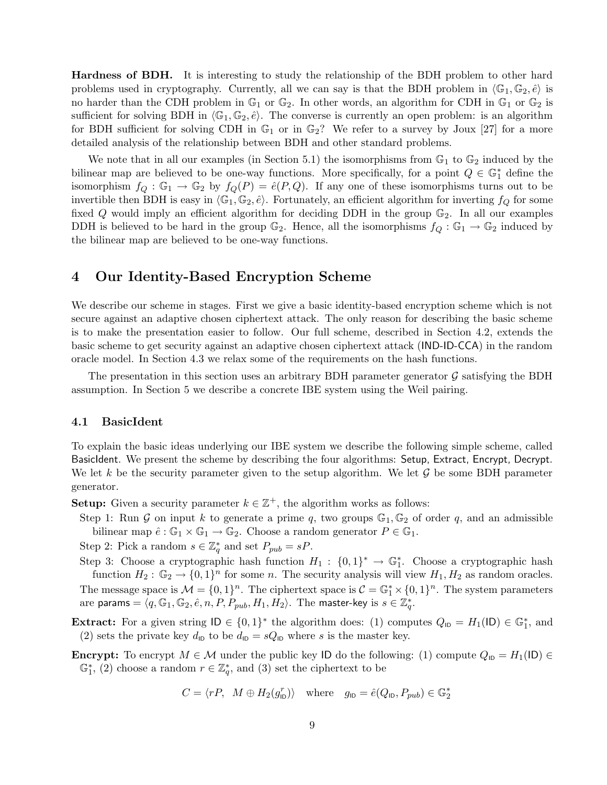Hardness of BDH. It is interesting to study the relationship of the BDH problem to other hard problems used in cryptography. Currently, all we can say is that the BDH problem in  $\langle \mathbb{G}_1, \mathbb{G}_2, \hat{e} \rangle$  is no harder than the CDH problem in  $\mathbb{G}_1$  or  $\mathbb{G}_2$ . In other words, an algorithm for CDH in  $\mathbb{G}_1$  or  $\mathbb{G}_2$  is sufficient for solving BDH in  $\langle \mathbb{G}_1, \mathbb{G}_2, \hat{e} \rangle$ . The converse is currently an open problem: is an algorithm for BDH sufficient for solving CDH in  $\mathbb{G}_1$  or in  $\mathbb{G}_2$ ? We refer to a survey by Joux [27] for a more detailed analysis of the relationship between BDH and other standard problems.

We note that in all our examples (in Section 5.1) the isomorphisms from  $\mathbb{G}_1$  to  $\mathbb{G}_2$  induced by the bilinear map are believed to be one-way functions. More specifically, for a point  $Q \in \mathbb{G}_1^*$  define the isomorphism  $f_Q : \mathbb{G}_1 \to \mathbb{G}_2$  by  $f_Q(P) = \hat{e}(P,Q)$ . If any one of these isomorphisms turns out to be invertible then BDH is easy in  $\langle \mathbb{G}_1, \mathbb{G}_2, \hat{e} \rangle$ . Fortunately, an efficient algorithm for inverting  $f_Q$  for some fixed Q would imply an efficient algorithm for deciding DDH in the group  $\mathbb{G}_2$ . In all our examples DDH is believed to be hard in the group  $\mathbb{G}_2$ . Hence, all the isomorphisms  $f_Q : \mathbb{G}_1 \to \mathbb{G}_2$  induced by the bilinear map are believed to be one-way functions.

# 4 Our Identity-Based Encryption Scheme

We describe our scheme in stages. First we give a basic identity-based encryption scheme which is not secure against an adaptive chosen ciphertext attack. The only reason for describing the basic scheme is to make the presentation easier to follow. Our full scheme, described in Section 4.2, extends the basic scheme to get security against an adaptive chosen ciphertext attack (IND-ID-CCA) in the random oracle model. In Section 4.3 we relax some of the requirements on the hash functions.

The presentation in this section uses an arbitrary BDH parameter generator  $\mathcal G$  satisfying the BDH assumption. In Section 5 we describe a concrete IBE system using the Weil pairing.

#### 4.1 BasicIdent

To explain the basic ideas underlying our IBE system we describe the following simple scheme, called BasicIdent. We present the scheme by describing the four algorithms: Setup, Extract, Encrypt, Decrypt. We let k be the security parameter given to the setup algorithm. We let  $\mathcal G$  be some BDH parameter generator.

- **Setup:** Given a security parameter  $k \in \mathbb{Z}^+$ , the algorithm works as follows:
	- Step 1: Run G on input k to generate a prime q, two groups  $\mathbb{G}_1$ ,  $\mathbb{G}_2$  of order q, and an admissible bilinear map  $\hat{e} : \mathbb{G}_1 \times \mathbb{G}_1 \to \mathbb{G}_2$ . Choose a random generator  $P \in \mathbb{G}_1$ .
	- Step 2: Pick a random  $s \in \mathbb{Z}_q^*$  and set  $P_{pub} = sP$ .
	- Step 3: Choose a cryptographic hash function  $H_1: \{0,1\}^* \to \mathbb{G}_1^*$ . Choose a cryptographic hash function  $H_2: \mathbb{G}_2 \to \{0,1\}^n$  for some n. The security analysis will view  $H_1, H_2$  as random oracles. The message space is  $\mathcal{M} = \{0,1\}^n$ . The ciphertext space is  $\mathcal{C} = \mathbb{G}_1^* \times \{0,1\}^n$ . The system parameters are params  $= \langle q, \mathbb{G}_1, \mathbb{G}_2, \hat{e}, n, P, P_{pub}, H_1, H_2 \rangle$ . The master-key is  $s \in \mathbb{Z}_q^*$ .
- **Extract:** For a given string  $|D \in \{0,1\}^*$  the algorithm does: (1) computes  $Q_{\text{ID}} = H_1(|D) \in \mathbb{G}_1^*$ , and (2) sets the private key  $d_{\text{ID}}$  to be  $d_{\text{ID}} = sQ_{\text{ID}}$  where s is the master key.
- **Encrypt:** To encrypt  $M \in \mathcal{M}$  under the public key ID do the following: (1) compute  $Q_{\text{ID}} = H_1(\text{ID}) \in$  $\mathbb{G}_1^*$ , (2) choose a random  $r \in \mathbb{Z}_q^*$ , and (3) set the ciphertext to be

$$
C = \langle rP, M \oplus H_2(g_{\mathsf{ID}}^r) \rangle \quad \text{where} \quad g_{\mathsf{ID}} = \hat{e}(Q_{\mathsf{ID}}, P_{\mathsf{pub}}) \in \mathbb{G}_2^*
$$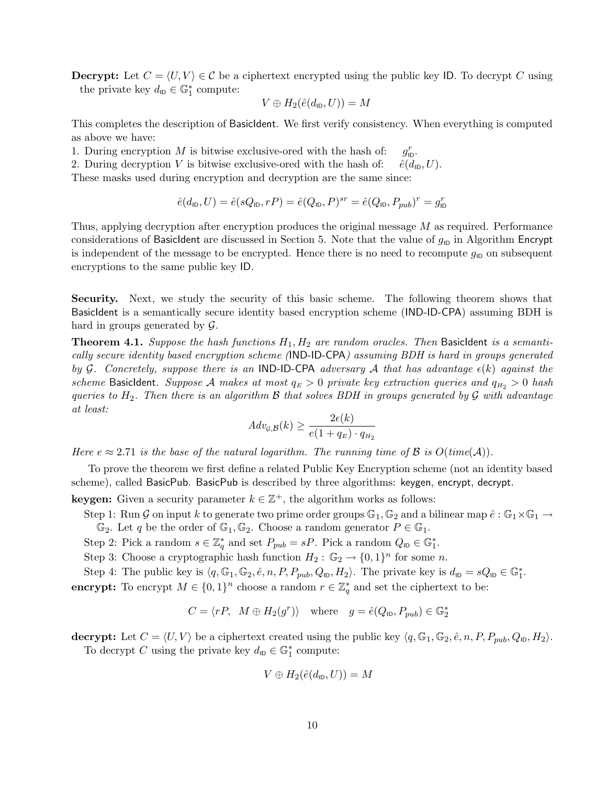**Decrypt:** Let  $C = \langle U, V \rangle \in \mathcal{C}$  be a ciphertext encrypted using the public key ID. To decrypt C using the private key  $d_{\text{ID}} \in \mathbb{G}_1^*$  compute:

$$
V \oplus H_2(\hat{e}(d_{\mathsf{ID}}, U)) = M
$$

This completes the description of BasicIdent. We first verify consistency. When everything is computed as above we have:

1. During encryption  $M$  is bitwise exclusive-ored with the hash of: r ID.

2. During decryption V is bitwise exclusive-ored with the hash of:  $\hat{e}(d_{\text{ID}},U)$ .

These masks used during encryption and decryption are the same since:

$$
\hat{e}(d_{\text{ID}}, U) = \hat{e}(sQ_{\text{ID}}, rP) = \hat{e}(Q_{\text{ID}}, P)^{sr} = \hat{e}(Q_{\text{ID}}, P_{pub})^r = g_{\text{ID}}^r
$$

Thus, applying decryption after encryption produces the original message M as required. Performance considerations of BasicIdent are discussed in Section 5. Note that the value of  $g_{\text{ID}}$  in Algorithm Encrypt is independent of the message to be encrypted. Hence there is no need to recompute  $g_{\text{ID}}$  on subsequent encryptions to the same public key ID.

Security. Next, we study the security of this basic scheme. The following theorem shows that BasicIdent is a semantically secure identity based encryption scheme (IND-ID-CPA) assuming BDH is hard in groups generated by  $\mathcal{G}$ .

**Theorem 4.1.** Suppose the hash functions  $H_1, H_2$  are random oracles. Then BasicIdent is a semantically secure identity based encryption scheme (IND-ID-CPA) assuming BDH is hard in groups generated by G. Concretely, suppose there is an IND-ID-CPA adversary A that has advantage  $\epsilon(k)$  against the scheme BasicIdent. Suppose A makes at most  $q_E > 0$  private key extraction queries and  $q_{H_2} > 0$  hash queries to  $H_2$ . Then there is an algorithm  $\mathcal B$  that solves BDH in groups generated by  $\mathcal G$  with advantage at least:

$$
Adv_{\mathcal{G},\mathcal{B}}(k) \ge \frac{2\epsilon(k)}{e(1+q_E) \cdot q_{H_2}}
$$

Here  $e \approx 2.71$  is the base of the natural logarithm. The running time of B is  $O(\text{time}(\mathcal{A}))$ .

To prove the theorem we first define a related Public Key Encryption scheme (not an identity based scheme), called BasicPub. BasicPub is described by three algorithms: keygen, encrypt, decrypt.

**keygen:** Given a security parameter  $k \in \mathbb{Z}^+$ , the algorithm works as follows:

Step 1: Run G on input k to generate two prime order groups  $\mathbb{G}_1, \mathbb{G}_2$  and a bilinear map  $\hat{e}: \mathbb{G}_1 \times \mathbb{G}_1 \to$  $\mathbb{G}_2$ . Let q be the order of  $\mathbb{G}_1, \mathbb{G}_2$ . Choose a random generator  $P \in \mathbb{G}_1$ .

Step 2: Pick a random  $s \in \mathbb{Z}_q^*$  and set  $P_{pub} = sP$ . Pick a random  $Q_{\text{ID}} \in \mathbb{G}_1^*$ .

Step 3: Choose a cryptographic hash function  $H_2: \mathbb{G}_2 \to \{0,1\}^n$  for some n.

Step 4: The public key is  $\langle q, \mathbb{G}_1, \mathbb{G}_2, \hat{e}, n, P, P_{pub}, Q_{\mathsf{ID}}, H_2 \rangle$ . The private key is  $d_{\mathsf{ID}} = sQ_{\mathsf{ID}} \in \mathbb{G}_1^*$ . encrypt: To encrypt  $M \in \{0,1\}^n$  choose a random  $r \in \mathbb{Z}_q^*$  and set the ciphertext to be:

$$
C = \langle rP, M \oplus H_2(g^r) \rangle \quad \text{where} \quad g = \hat{e}(Q_{\text{ID}}, P_{pub}) \in \mathbb{G}_2^*
$$

decrypt: Let  $C = \langle U, V \rangle$  be a ciphertext created using the public key  $\langle q, \mathbb{G}_1, \mathbb{G}_2, \hat{e}, n, P, P_{pub}, Q_{\mathbb{D}}, H_2 \rangle$ .

To decrypt C using the private key  $d_{\text{ID}} \in \mathbb{G}_1^*$  compute:

$$
V \oplus H_2(\hat{e}(d_{\text{ID}}, U)) = M
$$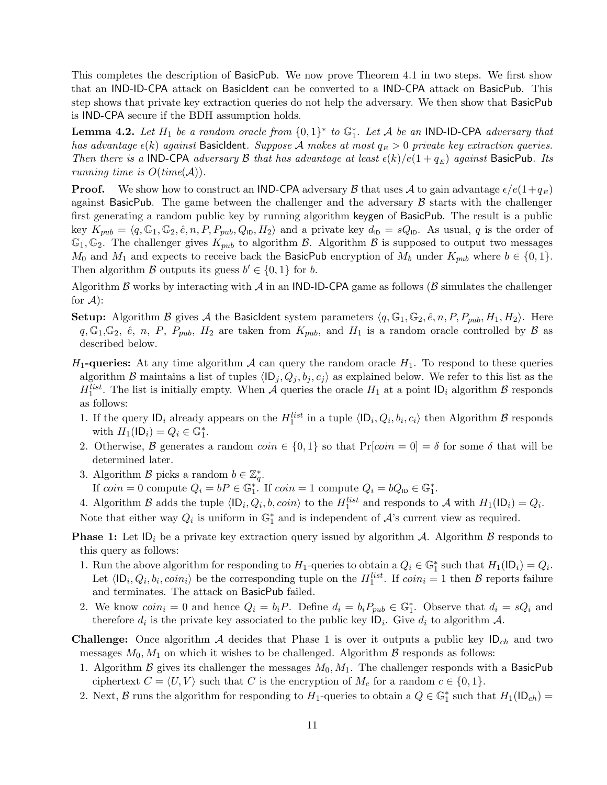This completes the description of BasicPub. We now prove Theorem 4.1 in two steps. We first show that an IND-ID-CPA attack on BasicIdent can be converted to a IND-CPA attack on BasicPub. This step shows that private key extraction queries do not help the adversary. We then show that BasicPub is IND-CPA secure if the BDH assumption holds.

**Lemma 4.2.** Let  $H_1$  be a random oracle from  $\{0,1\}^*$  to  $\mathbb{G}_1^*$ . Let A be an IND-ID-CPA adversary that has advantage  $\epsilon(k)$  against BasicIdent. Suppose A makes at most  $q_E > 0$  private key extraction queries. Then there is a IND-CPA adversary B that has advantage at least  $\epsilon(k)/(e(1+q_E))$  against BasicPub. Its running time is  $O(\text{time}(\mathcal{A}))$ .

**Proof.** We show how to construct an IND-CPA adversary B that uses A to gain advantage  $\epsilon/e(1+q_E)$ against BasicPub. The game between the challenger and the adversary  $\beta$  starts with the challenger first generating a random public key by running algorithm keygen of BasicPub. The result is a public key  $K_{pub} = \langle q, \mathbb{G}_1, \mathbb{G}_2, \hat{e}, n, P, P_{pub}, Q_{\mathbb{D}}, H_2 \rangle$  and a private key  $d_{\mathbb{D}} = sQ_{\mathbb{D}}$ . As usual, q is the order of  $\mathbb{G}_1, \mathbb{G}_2$ . The challenger gives  $K_{pub}$  to algorithm  $\mathcal{B}$ . Algorithm  $\mathcal{B}$  is supposed to output two messages  $M_0$  and  $M_1$  and expects to receive back the BasicPub encryption of  $M_b$  under  $K_{pub}$  where  $b \in \{0, 1\}$ . Then algorithm B outputs its guess  $b' \in \{0, 1\}$  for b.

Algorithm B works by interacting with  $\mathcal A$  in an IND-ID-CPA game as follows (B simulates the challenger for  $\mathcal{A}$ :

- Setup: Algorithm B gives A the BasicIdent system parameters  $\langle q, \mathbb{G}_1, \mathbb{G}_2, \hat{e}, n, P, P_{pub}, H_1, H_2 \rangle$ . Here  $q$ ,  $\mathbb{G}_1$ ,  $\mathbb{G}_2$ ,  $\hat{e}$ ,  $n$ ,  $P$ ,  $P_{pub}$ ,  $H_2$  are taken from  $K_{pub}$ , and  $H_1$  is a random oracle controlled by  $\beta$  as described below.
- $H_1$ -queries: At any time algorithm A can query the random oracle  $H_1$ . To respond to these queries algorithm B maintains a list of tuples  $\langle \mathsf{ID}_i, Q_i, b_i, c_i \rangle$  as explained below. We refer to this list as the  $H_1^{list}$ . The list is initially empty. When  $\mathcal A$  queries the oracle  $H_1$  at a point  $\mathsf{ID}_i$  algorithm  $\mathcal B$  responds as follows:
	- 1. If the query  $ID_i$  already appears on the  $H_1^{list}$  in a tuple  $\langle ID_i, Q_i, b_i, c_i \rangle$  then Algorithm B responds with  $H_1(\mathsf{ID}_i) = Q_i \in \mathbb{G}_1^*$ .
	- 2. Otherwise, B generates a random  $coin \in \{0,1\}$  so that  $Pr[coin = 0] = \delta$  for some  $\delta$  that will be determined later.
	- 3. Algorithm  $\mathcal{B}$  picks a random  $b \in \mathbb{Z}_q^*$ . If  $coin = 0$  compute  $Q_i = bP \in \mathbb{G}_1^*$ . If  $coin = 1$  compute  $Q_i = bQ_{\text{ID}} \in \mathbb{G}_1^*$ .

4. Algorithm B adds the tuple  $\langle \mathsf{ID}_i, Q_i, b, coin \rangle$  to the  $H_1^{list}$  and responds to A with  $H_1(\mathsf{ID}_i) = Q_i$ . Note that either way  $Q_i$  is uniform in  $\mathbb{G}_1^*$  and is independent of  $\mathcal{A}$ 's current view as required.

- **Phase 1:** Let  $\mathsf{ID}_i$  be a private key extraction query issued by algorithm A. Algorithm B responds to this query as follows:
	- 1. Run the above algorithm for responding to  $H_1$ -queries to obtain a  $Q_i \in \mathbb{G}_1^*$  such that  $H_1(|D_i) = Q_i$ . Let  $\langle \mathsf{ID}_i, Q_i, b_i, coin_i \rangle$  be the corresponding tuple on the  $H_1^{list}$ . If  $coin_i = 1$  then  $\mathcal{B}$  reports failure and terminates. The attack on BasicPub failed.
	- 2. We know  $coin_i = 0$  and hence  $Q_i = b_i P$ . Define  $d_i = b_i P_{pub} \in \mathbb{G}_1^*$ . Observe that  $d_i = sQ_i$  and therefore  $d_i$  is the private key associated to the public key  $\mathsf{ID}_i$ . Give  $d_i$  to algorithm A.
- **Challenge:** Once algorithm A decides that Phase 1 is over it outputs a public key  $|D_{ch}$  and two messages  $M_0, M_1$  on which it wishes to be challenged. Algorithm  $\beta$  responds as follows:
	- 1. Algorithm B gives its challenger the messages  $M_0, M_1$ . The challenger responds with a BasicPub ciphertext  $C = \langle U, V \rangle$  such that C is the encryption of  $M_c$  for a random  $c \in \{0, 1\}.$
	- 2. Next, B runs the algorithm for responding to  $H_1$ -queries to obtain a  $Q \in \mathbb{G}_1^*$  such that  $H_1(\mathsf{ID}_{ch}) =$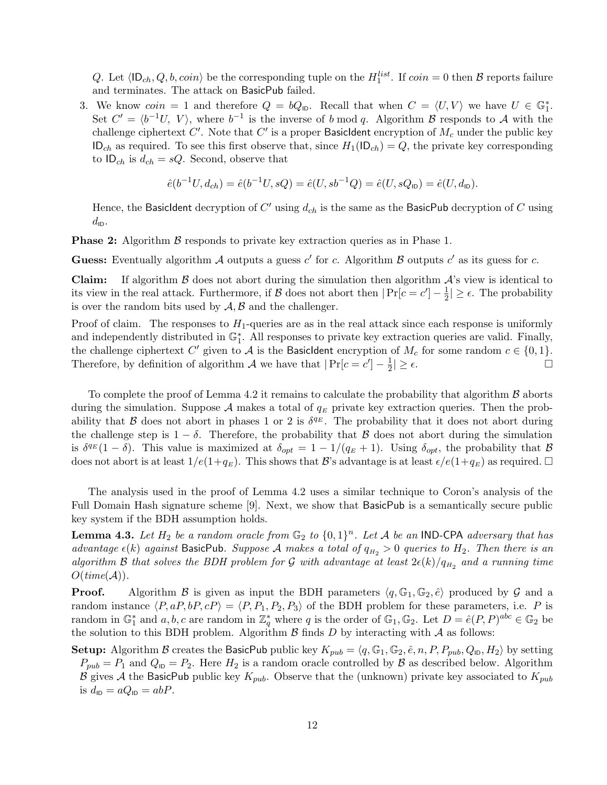Q. Let  $\langle \mathsf{ID}_{ch}, Q, b, coin \rangle$  be the corresponding tuple on the  $H_1^{list}$ . If  $coin = 0$  then  $\mathcal B$  reports failure and terminates. The attack on BasicPub failed.

3. We know  $coin = 1$  and therefore  $Q = bQ_{\text{ID}}$ . Recall that when  $C = \langle U, V \rangle$  we have  $U \in \mathbb{G}_1^*$ . Set  $C' = \langle b^{-1}U, V \rangle$ , where  $b^{-1}$  is the inverse of b mod q. Algorithm B responds to A with the challenge ciphertext  $C'$ . Note that  $C'$  is a proper BasicIdent encryption of  $M_c$  under the public key  $ID<sub>ch</sub>$  as required. To see this first observe that, since  $H_1(ID_{ch}) = Q$ , the private key corresponding to  $ID_{ch}$  is  $d_{ch} = sQ$ . Second, observe that

$$
\hat{e}(b^{-1}U, d_{ch}) = \hat{e}(b^{-1}U, sQ) = \hat{e}(U, sb^{-1}Q) = \hat{e}(U, sQ_{\text{ID}}) = \hat{e}(U, d_{\text{ID}}).
$$

Hence, the BasicIdent decryption of  $C'$  using  $d_{ch}$  is the same as the BasicPub decryption of  $C$  using  $d_{\text{ID}}$ .

**Phase 2:** Algorithm B responds to private key extraction queries as in Phase 1.

Guess: Eventually algorithm A outputs a guess  $c'$  for c. Algorithm B outputs  $c'$  as its guess for c.

**Claim:** If algorithm  $\beta$  does not abort during the simulation then algorithm  $\mathcal{A}$ 's view is identical to its view in the real attack. Furthermore, if B does not abort then  $|\Pr[c = c'] - \frac{1}{2}$  $\frac{1}{2}$   $\geq \epsilon$ . The probability is over the random bits used by  $A, B$  and the challenger.

Proof of claim. The responses to  $H_1$ -queries are as in the real attack since each response is uniformly and independently distributed in  $\mathbb{G}_1^*$ . All responses to private key extraction queries are valid. Finally, the challenge ciphertext C' given to A is the BasicIdent encryption of  $M_c$  for some random  $c \in \{0, 1\}$ . Therefore, by definition of algorithm A we have that  $|\Pr[c = c'] - \frac{1}{2}$  $\frac{1}{2}$ |  $\geq \epsilon$ .

To complete the proof of Lemma 4.2 it remains to calculate the probability that algorithm  $\beta$  aborts during the simulation. Suppose A makes a total of  $q_E$  private key extraction queries. Then the probability that  $\beta$  does not abort in phases 1 or 2 is  $\delta^{q_E}$ . The probability that it does not abort during the challenge step is  $1 - \delta$ . Therefore, the probability that B does not abort during the simulation is  $\delta^{q_E}(1-\delta)$ . This value is maximized at  $\delta_{opt} = 1 - 1/(q_E + 1)$ . Using  $\delta_{opt}$ , the probability that  $\beta$ does not abort is at least  $1/e(1+q_E)$ . This shows that  $\mathcal{B}$ 's advantage is at least  $\epsilon/e(1+q_E)$  as required.  $\Box$ 

The analysis used in the proof of Lemma 4.2 uses a similar technique to Coron's analysis of the Full Domain Hash signature scheme [9]. Next, we show that BasicPub is a semantically secure public key system if the BDH assumption holds.

**Lemma 4.3.** Let  $H_2$  be a random oracle from  $\mathbb{G}_2$  to  $\{0,1\}^n$ . Let A be an IND-CPA adversary that has advantage  $\epsilon(k)$  against BasicPub. Suppose A makes a total of  $q_{H_2} > 0$  queries to  $H_2$ . Then there is an algorithm B that solves the BDH problem for G with advantage at least  $2\epsilon(k)/q_{H_2}$  and a running time  $O(\text{time}(\mathcal{A}))$ .

**Proof.** Algorithm B is given as input the BDH parameters  $\langle q, \mathbb{G}_1, \mathbb{G}_2, \hat{e} \rangle$  produced by G and a random instance  $\langle P, aP, bP, cP \rangle = \langle P, P_1, P_2, P_3 \rangle$  of the BDH problem for these parameters, i.e. P is random in  $\mathbb{G}_1^*$  and  $a, b, c$  are random in  $\mathbb{Z}_q^*$  where q is the order of  $\mathbb{G}_1, \mathbb{G}_2$ . Let  $D = \hat{e}(P, P)^{abc} \in \mathbb{G}_2$  be the solution to this BDH problem. Algorithm  $\beta$  finds  $D$  by interacting with  $\mathcal A$  as follows:

Setup: Algorithm B creates the BasicPub public key  $K_{pub} = \langle q, \mathbb{G}_1, \mathbb{G}_2, \hat{e}, n, P, P_{pub}, Q_{\mathbb{D}}, H_2 \rangle$  by setting  $P_{pub} = P_1$  and  $Q_{ID} = P_2$ . Here  $H_2$  is a random oracle controlled by  $\beta$  as described below. Algorithm B gives A the BasicPub public key  $K_{pub}$ . Observe that the (unknown) private key associated to  $K_{pub}$ is  $d_{\text{ID}} = aQ_{\text{ID}} = abP$ .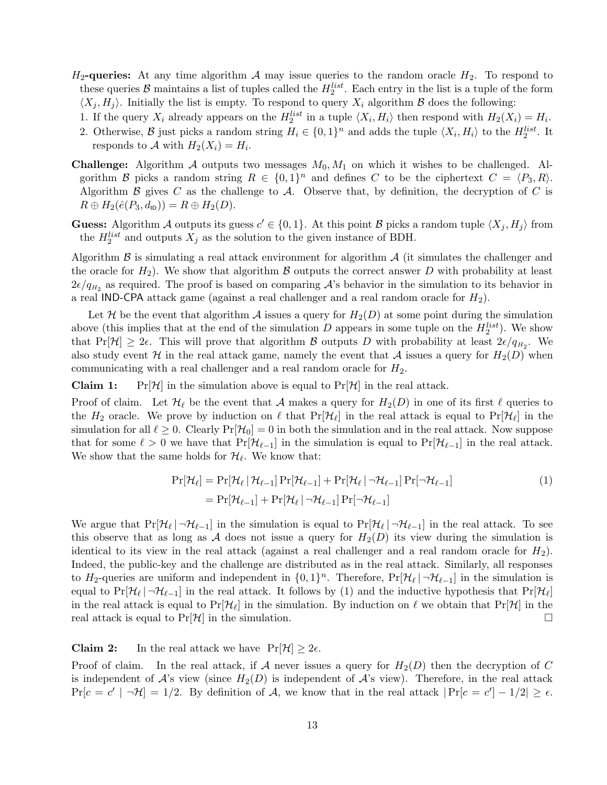- $H_2$ -queries: At any time algorithm A may issue queries to the random oracle  $H_2$ . To respond to these queries  $\beta$  maintains a list of tuples called the  $H_2^{list}$ . Each entry in the list is a tuple of the form  $\langle X_i, H_i \rangle$ . Initially the list is empty. To respond to query  $X_i$  algorithm B does the following:
	- 1. If the query  $X_i$  already appears on the  $H_2^{list}$  in a tuple  $\langle X_i, H_i \rangle$  then respond with  $H_2(X_i) = H_i$ .
	- 2. Otherwise, B just picks a random string  $H_i \in \{0,1\}^n$  and adds the tuple  $\langle X_i, H_i \rangle$  to the  $H_2^{list}$ . It responds to A with  $H_2(X_i) = H_i$ .
- **Challenge:** Algorithm A outputs two messages  $M_0, M_1$  on which it wishes to be challenged. Algorithm B picks a random string  $R \in \{0,1\}^n$  and defines C to be the ciphertext  $C = \langle P_3, R \rangle$ . Algorithm  $\beta$  gives C as the challenge to A. Observe that, by definition, the decryption of C is  $R \oplus H_2(\hat{e}(P_3, d_{\text{ID}})) = R \oplus H_2(D).$
- **Guess:** Algorithm A outputs its guess  $c' \in \{0, 1\}$ . At this point B picks a random tuple  $\langle X_j, H_j \rangle$  from the  $H_2^{list}$  and outputs  $X_j$  as the solution to the given instance of BDH.

Algorithm  $\beta$  is simulating a real attack environment for algorithm  $\mathcal A$  (it simulates the challenger and the oracle for  $H_2$ ). We show that algorithm  $\beta$  outputs the correct answer D with probability at least  $2\epsilon/q_{H_2}$  as required. The proof is based on comparing A's behavior in the simulation to its behavior in a real IND-CPA attack game (against a real challenger and a real random oracle for  $H_2$ ).

Let H be the event that algorithm A issues a query for  $H_2(D)$  at some point during the simulation above (this implies that at the end of the simulation D appears in some tuple on the  $H_2^{list}$ ). We show that  $Pr[\mathcal{H}] \geq 2\epsilon$ . This will prove that algorithm B outputs D with probability at least  $2\epsilon/q_{H_2}$ . We also study event H in the real attack game, namely the event that A issues a query for  $H_2(D)$  when communicating with a real challenger and a real random oracle for  $H_2$ .

**Claim 1:** Pr[ $\mathcal{H}$ ] in the simulation above is equal to Pr[ $\mathcal{H}$ ] in the real attack.

Proof of claim. Let  $\mathcal{H}_\ell$  be the event that A makes a query for  $H_2(D)$  in one of its first  $\ell$  queries to the  $H_2$  oracle. We prove by induction on  $\ell$  that  $Pr[\mathcal{H}_\ell]$  in the real attack is equal to  $Pr[\mathcal{H}_\ell]$  in the simulation for all  $\ell \geq 0$ . Clearly  $Pr[\mathcal{H}_0] = 0$  in both the simulation and in the real attack. Now suppose that for some  $\ell > 0$  we have that Pr[ $\mathcal{H}_{\ell-1}$ ] in the simulation is equal to Pr[ $\mathcal{H}_{\ell-1}$ ] in the real attack. We show that the same holds for  $\mathcal{H}_{\ell}$ . We know that:

$$
\Pr[\mathcal{H}_{\ell}] = \Pr[\mathcal{H}_{\ell} | \mathcal{H}_{\ell-1}] \Pr[\mathcal{H}_{\ell-1}] + \Pr[\mathcal{H}_{\ell} | \neg \mathcal{H}_{\ell-1}] \Pr[\neg \mathcal{H}_{\ell-1}]
$$
\n
$$
= \Pr[\mathcal{H}_{\ell-1}] + \Pr[\mathcal{H}_{\ell} | \neg \mathcal{H}_{\ell-1}] \Pr[\neg \mathcal{H}_{\ell-1}]
$$
\n(1)

We argue that  $Pr[\mathcal{H}_{\ell} | \neg \mathcal{H}_{\ell-1}]$  in the simulation is equal to  $Pr[\mathcal{H}_{\ell} | \neg \mathcal{H}_{\ell-1}]$  in the real attack. To see this observe that as long as A does not issue a query for  $H_2(D)$  its view during the simulation is identical to its view in the real attack (against a real challenger and a real random oracle for  $H_2$ ). Indeed, the public-key and the challenge are distributed as in the real attack. Similarly, all responses to H<sub>2</sub>-queries are uniform and independent in  $\{0,1\}^n$ . Therefore, Pr[H<sub>l</sub> | ¬H<sub>l</sub>-1] in the simulation is equal to  $Pr[\mathcal{H}_\ell | \neg \mathcal{H}_{\ell-1}]$  in the real attack. It follows by (1) and the inductive hypothesis that  $Pr[\mathcal{H}_\ell]$ in the real attack is equal to  $Pr[\mathcal{H}_\ell]$  in the simulation. By induction on  $\ell$  we obtain that  $Pr[\mathcal{H}]$  in the real attack is equal to  $Pr[\mathcal{H}]$  in the simulation.

**Claim 2:** In the real attack we have  $Pr[\mathcal{H}] \geq 2\epsilon$ .

Proof of claim. In the real attack, if A never issues a query for  $H_2(D)$  then the decryption of C is independent of  $\mathcal{A}$ 's view (since  $H_2(D)$  is independent of  $\mathcal{A}$ 's view). Therefore, in the real attack  $Pr[c = c' \mid \neg \mathcal{H}] = 1/2$ . By definition of A, we know that in the real attack  $|Pr[c = c'] - 1/2| \ge \epsilon$ .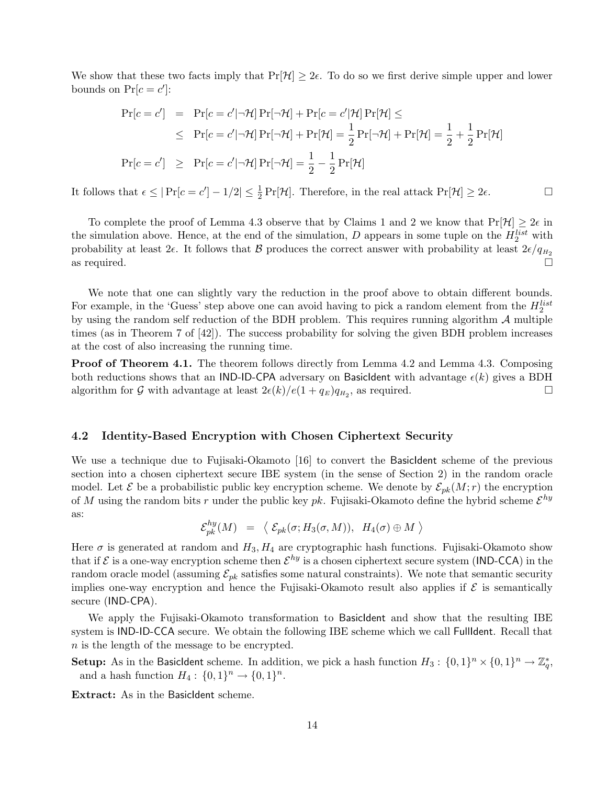We show that these two facts imply that  $Pr[\mathcal{H}] \geq 2\epsilon$ . To do so we first derive simple upper and lower bounds on  $Pr[c = c']$ :

$$
\Pr[c = c'] = \Pr[c = c' | \neg \mathcal{H}] \Pr[\neg \mathcal{H}] + \Pr[c = c' | \mathcal{H}] \Pr[\mathcal{H}] \le
$$
  
\n
$$
\leq \Pr[c = c' | \neg \mathcal{H}] \Pr[\neg \mathcal{H}] + \Pr[\mathcal{H}] = \frac{1}{2} \Pr[\neg \mathcal{H}] + \Pr[\mathcal{H}] = \frac{1}{2} + \frac{1}{2} \Pr[\mathcal{H}]
$$
  
\n
$$
\Pr[c = c'] \geq \Pr[c = c' | \neg \mathcal{H}] \Pr[\neg \mathcal{H}] = \frac{1}{2} - \frac{1}{2} \Pr[\mathcal{H}]
$$

It follows that  $\epsilon \leq |\Pr[c = c'] - 1/2| \leq \frac{1}{2}$  $\frac{1}{2} \Pr[\mathcal{H}]$ . Therefore, in the real attack  $\Pr[\mathcal{H}] \geq 2\epsilon$ .

To complete the proof of Lemma 4.3 observe that by Claims 1 and 2 we know that  $Pr[\mathcal{H}] \geq 2\epsilon$  in the simulation above. Hence, at the end of the simulation, D appears in some tuple on the  $H_2^{list}$  with probability at least  $2\epsilon$ . It follows that B produces the correct answer with probability at least  $2\epsilon/q_{H_2}$ as required.  $\Box$ 

We note that one can slightly vary the reduction in the proof above to obtain different bounds. For example, in the 'Guess' step above one can avoid having to pick a random element from the  $H_2^{list}$ by using the random self reduction of the BDH problem. This requires running algorithm  $A$  multiple times (as in Theorem 7 of [42]). The success probability for solving the given BDH problem increases at the cost of also increasing the running time.

Proof of Theorem 4.1. The theorem follows directly from Lemma 4.2 and Lemma 4.3. Composing both reductions shows that an IND-ID-CPA adversary on BasicIdent with advantage  $\epsilon(k)$  gives a BDH algorithm for G with advantage at least  $2\epsilon(k)/e(1+q_E)q_{H_2}$ , as required.

#### 4.2 Identity-Based Encryption with Chosen Ciphertext Security

We use a technique due to Fujisaki-Okamoto [16] to convert the BasicIdent scheme of the previous section into a chosen ciphertext secure IBE system (in the sense of Section 2) in the random oracle model. Let  $\mathcal{E}$  be a probabilistic public key encryption scheme. We denote by  $\mathcal{E}_{nk}(M; r)$  the encryption of M using the random bits r under the public key pk. Fujisaki-Okamoto define the hybrid scheme  $\mathcal{E}^{hy}$ as:

$$
\mathcal{E}_{pk}^{hy}(M)\;\;=\;\;\left\langle \right. \mathcal{E}_{pk}(\sigma;H_3(\sigma,M)),\;\;H_4(\sigma)\oplus M\left. \right\rangle
$$

Here  $\sigma$  is generated at random and  $H_3, H_4$  are cryptographic hash functions. Fujisaki-Okamoto show that if  $\mathcal E$  is a one-way encryption scheme then  $\mathcal E^{hy}$  is a chosen ciphertext secure system (IND-CCA) in the random oracle model (assuming  $\mathcal{E}_{pk}$  satisfies some natural constraints). We note that semantic security implies one-way encryption and hence the Fujisaki-Okamoto result also applies if  $\mathcal E$  is semantically secure (IND-CPA).

We apply the Fujisaki-Okamoto transformation to BasicIdent and show that the resulting IBE system is IND-ID-CCA secure. We obtain the following IBE scheme which we call FullIdent. Recall that n is the length of the message to be encrypted.

**Setup:** As in the BasicIdent scheme. In addition, we pick a hash function  $H_3: \{0,1\}^n \times \{0,1\}^n \to \mathbb{Z}_q^*$ , and a hash function  $H_4: \{0,1\}^n \to \{0,1\}^n$ .

Extract: As in the BasicIdent scheme.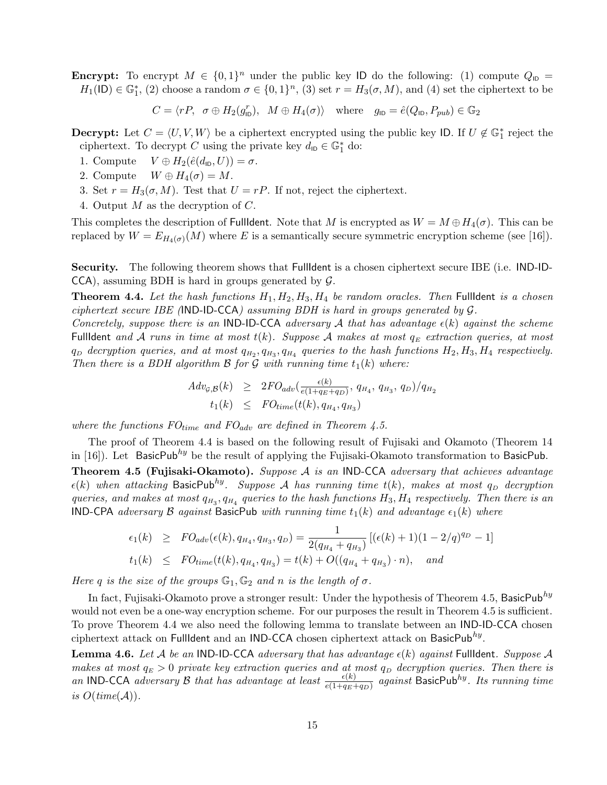**Encrypt:** To encrypt  $M \in \{0,1\}^n$  under the public key ID do the following: (1) compute  $Q_{\text{ID}} =$  $H_1(\mathsf{ID}) \in \mathbb{G}_1^*$ , (2) choose a random  $\sigma \in \{0,1\}^n$ , (3) set  $r = H_3(\sigma, M)$ , and (4) set the ciphertext to be

 $C = \langle rP, \sigma \oplus H_2(g_{\mathsf{ID}}^r), M \oplus H_4(\sigma) \rangle$  where  $g_{\mathsf{ID}} = \hat{e}(Q_{\mathsf{ID}}, P_{pub}) \in \mathbb{G}_2$ 

**Decrypt:** Let  $C = \langle U, V, W \rangle$  be a ciphertext encrypted using the public key ID. If  $U \notin \mathbb{G}_1^*$  reject the ciphertext. To decrypt C using the private key  $d_{\text{ID}} \in \mathbb{G}_1^*$  do:

- 1. Compute  $V \oplus H_2(\hat{e}(d_{\text{ID}}, U)) = \sigma$ .
- 2. Compute  $W \oplus H_4(\sigma) = M$ .
- 3. Set  $r = H_3(\sigma, M)$ . Test that  $U = rP$ . If not, reject the ciphertext.
- 4. Output M as the decryption of C.

This completes the description of FullIdent. Note that M is encrypted as  $W = M \oplus H_4(\sigma)$ . This can be replaced by  $W = E_{H_4(\sigma)}(M)$  where E is a semantically secure symmetric encryption scheme (see [16]).

Security. The following theorem shows that FullIdent is a chosen ciphertext secure IBE (i.e. IND-ID- $CCA$ , assuming BDH is hard in groups generated by  $G$ .

**Theorem 4.4.** Let the hash functions  $H_1, H_2, H_3, H_4$  be random oracles. Then FullIdent is a chosen ciphertext secure IBE (IND-ID-CCA) assuming BDH is hard in groups generated by  $\mathcal G$ .

Concretely, suppose there is an IND-ID-CCA adversary A that has advantage  $\epsilon(k)$  against the scheme FullIdent and A runs in time at most  $t(k)$ . Suppose A makes at most  $q_E$  extraction queries, at most  $q_D$  decryption queries, and at most  $q_{H_2}, q_{H_3}, q_{H_4}$  queries to the hash functions  $H_2, H_3, H_4$  respectively. Then there is a BDH algorithm B for G with running time  $t_1(k)$  where:

$$
Adv_{\mathcal{G},\mathcal{B}}(k) \geq 2FO_{adv}(\frac{\epsilon(k)}{\epsilon(1+q_E+q_D)}, q_{H_4}, q_{H_3}, q_D)/q_{H_2}
$$
  

$$
t_1(k) \leq FO_{time}(t(k), q_{H_4}, q_{H_3})
$$

where the functions  $FO_{time}$  and  $FO_{adv}$  are defined in Theorem 4.5.

The proof of Theorem 4.4 is based on the following result of Fujisaki and Okamoto (Theorem 14 in [16]). Let BasicPub<sup>hy</sup> be the result of applying the Fujisaki-Okamoto transformation to BasicPub. Theorem 4.5 (Fujisaki-Okamoto). Suppose A is an IND-CCA adversary that achieves advantage  $\epsilon(k)$  when attacking BasicPub<sup>hy</sup>. Suppose A has running time t(k), makes at most  $q_D$  decryption queries, and makes at most  $q_{H_3}, q_{H_4}$  queries to the hash functions  $H_3, H_4$  respectively. Then there is an IND-CPA adversary B against BasicPub with running time  $t_1(k)$  and advantage  $\epsilon_1(k)$  where

$$
\epsilon_1(k) \geq F O_{adv}(\epsilon(k), q_{H_4}, q_{H_3}, q_D) = \frac{1}{2(q_{H_4} + q_{H_3})} [(\epsilon(k) + 1)(1 - 2/q)^{q_D} - 1]
$$
  

$$
t_1(k) \leq F O_{time}(t(k), q_{H_4}, q_{H_3}) = t(k) + O((q_{H_4} + q_{H_3}) \cdot n), \text{ and}
$$

Here q is the size of the groups  $\mathbb{G}_1, \mathbb{G}_2$  and n is the length of  $\sigma$ .

In fact, Fujisaki-Okamoto prove a stronger result: Under the hypothesis of Theorem 4.5, BasicPub<sup>hy</sup> would not even be a one-way encryption scheme. For our purposes the result in Theorem 4.5 is sufficient. To prove Theorem 4.4 we also need the following lemma to translate between an IND-ID-CCA chosen ciphertext attack on FullIdent and an IND-CCA chosen ciphertext attack on BasicPub $^{hy}.$ 

**Lemma 4.6.** Let A be an IND-ID-CCA adversary that has advantage  $\epsilon(k)$  against FullIdent. Suppose A makes at most  $q_E > 0$  private key extraction queries and at most  $q_D$  decryption queries. Then there is an IND-CCA adversary B that has advantage at least  $\frac{\epsilon(k)}{\epsilon(1+q_E+q_D)}$  against BasicPub<sup>hy</sup>. Its running time is  $O(\text{time}(\mathcal{A}))$ .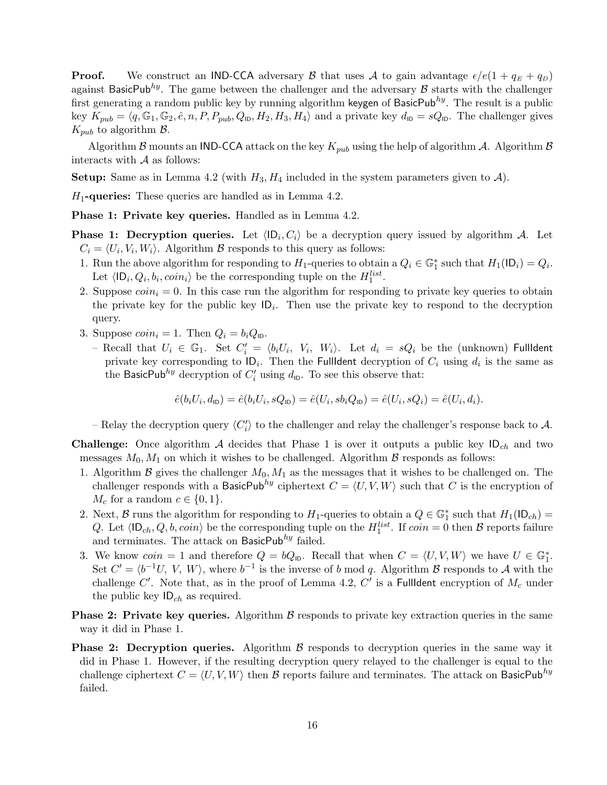**Proof.** We construct an IND-CCA adversary B that uses A to gain advantage  $\epsilon/e(1 + q_E + q_D)$ against BasicPub<sup>hy</sup>. The game between the challenger and the adversary  $\beta$  starts with the challenger first generating a random public key by running algorithm keygen of BasicPub $^{hy}$ . The result is a public key  $K_{pub} = \langle q, \mathbb{G}_1, \mathbb{G}_2, \hat{e}, n, P, P_{pub}, Q_{\text{ID}}, H_2, H_3, H_4 \rangle$  and a private key  $d_{\text{ID}} = sQ_{\text{ID}}$ . The challenger gives  $K_{pub}$  to algorithm  $\beta$ .

Algorithm B mounts an IND-CCA attack on the key  $K_{pub}$  using the help of algorithm A. Algorithm B interacts with  $A$  as follows:

**Setup:** Same as in Lemma 4.2 (with  $H_3, H_4$  included in the system parameters given to A).

 $H_1$ -queries: These queries are handled as in Lemma 4.2.

Phase 1: Private key queries. Handled as in Lemma 4.2.

**Phase 1: Decryption queries.** Let  $\langle \mathsf{ID}_i, C_i \rangle$  be a decryption query issued by algorithm A. Let  $C_i = \langle U_i, V_i, W_i \rangle$ . Algorithm B responds to this query as follows:

- 1. Run the above algorithm for responding to  $H_1$ -queries to obtain a  $Q_i \in \mathbb{G}_1^*$  such that  $H_1(\mathsf{ID}_i) = Q_i$ . Let  $\langle \mathsf{ID}_i, Q_i, b_i, coin_i \rangle$  be the corresponding tuple on the  $H_1^{list}$ .
- 2. Suppose  $coin<sub>i</sub> = 0$ . In this case run the algorithm for responding to private key queries to obtain the private key for the public key  $\mathsf{ID}_i$ . Then use the private key to respond to the decryption query.
- 3. Suppose  $coin_i = 1$ . Then  $Q_i = b_i Q_{\text{ID}}$ .
	- $−$  Recall that  $U_i$  ∈  $\mathbb{G}_1$ . Set  $C'_i = \langle b_i U_i, V_i, W_i \rangle$ . Let  $d_i = sQ_i$  be the (unknown) FullIdent private key corresponding to  $\mathsf{ID}_i$ . Then the Fulldent decryption of  $C_i$  using  $d_i$  is the same as the BasicPub<sup>hy</sup> decryption of  $C_i'$  using  $d_{\text{ID}}$ . To see this observe that:

$$
\hat{e}(b_iU_i, d_{\text{ID}}) = \hat{e}(b_iU_i, sQ_{\text{ID}}) = \hat{e}(U_i, sb_iQ_{\text{ID}}) = \hat{e}(U_i, sQ_i) = \hat{e}(U_i, d_i).
$$

– Relay the decryption query  $\langle C_i' \rangle$  to the challenger and relay the challenger's response back to A.

**Challenge:** Once algorithm A decides that Phase 1 is over it outputs a public key  $ID_{ch}$  and two messages  $M_0, M_1$  on which it wishes to be challenged. Algorithm  $\beta$  responds as follows:

- 1. Algorithm B gives the challenger  $M_0, M_1$  as the messages that it wishes to be challenged on. The challenger responds with a BasicPub<sup>hy</sup> ciphertext  $C = \langle U, V, W \rangle$  such that C is the encryption of  $M_c$  for a random  $c \in \{0, 1\}.$
- 2. Next, B runs the algorithm for responding to  $H_1$ -queries to obtain a  $Q \in \mathbb{G}_1^*$  such that  $H_1(\mathsf{ID}_{ch}) =$ Q. Let  $\langle \mathsf{ID}_{ch}, Q, b, coin \rangle$  be the corresponding tuple on the  $H_1^{list}$ . If  $coin = 0$  then  $\beta$  reports failure and terminates. The attack on BasicPub<sup>hy</sup> failed.
- 3. We know  $coin = 1$  and therefore  $Q = bQ_{\text{ID}}$ . Recall that when  $C = \langle U, V, W \rangle$  we have  $U \in \mathbb{G}_1^*$ . Set  $C' = \langle b^{-1}U, V, W \rangle$ , where  $b^{-1}$  is the inverse of b mod q. Algorithm B responds to A with the challenge  $C'$ . Note that, as in the proof of Lemma 4.2,  $C'$  is a Fullident encryption of  $M_c$  under the public key  $ID_{ch}$  as required.
- **Phase 2: Private key queries.** Algorithm  $\beta$  responds to private key extraction queries in the same way it did in Phase 1.
- **Phase 2: Decryption queries.** Algorithm  $\beta$  responds to decryption queries in the same way it did in Phase 1. However, if the resulting decryption query relayed to the challenger is equal to the challenge ciphertext  $C = \langle U, V, W \rangle$  then B reports failure and terminates. The attack on BasicPub<sup>hy</sup> failed.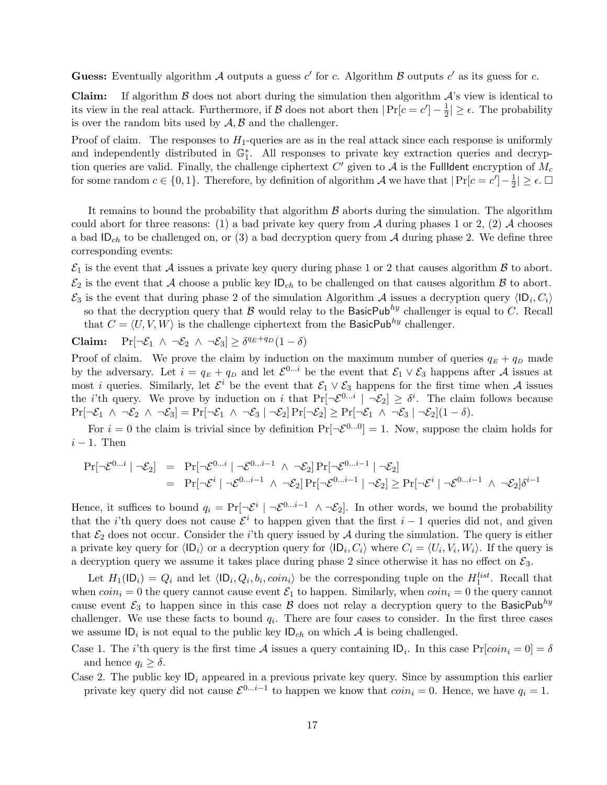Guess: Eventually algorithm A outputs a guess  $c'$  for c. Algorithm B outputs  $c'$  as its guess for c.

**Claim:** If algorithm  $\beta$  does not abort during the simulation then algorithm  $\mathcal{A}$ 's view is identical to its view in the real attack. Furthermore, if B does not abort then  $|\Pr[c = c'] - \frac{1}{2}$  $\frac{1}{2}$   $\geq \epsilon$ . The probability is over the random bits used by  $A, B$  and the challenger.

Proof of claim. The responses to  $H_1$ -queries are as in the real attack since each response is uniformly and independently distributed in  $\mathbb{G}_1^*$ . All responses to private key extraction queries and decryption queries are valid. Finally, the challenge ciphertext  $C'$  given to  $\mathcal A$  is the FullIdent encryption of  $M_c$ for some random  $c \in \{0,1\}$ . Therefore, by definition of algorithm A we have that  $|\Pr[c = c'] - \frac{1}{2}$  $\frac{1}{2}$ |  $\geq \epsilon$ .  $\Box$ 

It remains to bound the probability that algorithm  $\beta$  aborts during the simulation. The algorithm could abort for three reasons: (1) a bad private key query from  $A$  during phases 1 or 2, (2)  $A$  chooses a bad ID<sub>ch</sub> to be challenged on, or (3) a bad decryption query from A during phase 2. We define three corresponding events:

 $\mathcal{E}_1$  is the event that A issues a private key query during phase 1 or 2 that causes algorithm B to abort.  $\mathcal{E}_2$  is the event that A choose a public key  $\mathsf{ID}_{ch}$  to be challenged on that causes algorithm B to abort.  $\mathcal{E}_3$  is the event that during phase 2 of the simulation Algorithm A issues a decryption query  $\langle \mathsf{ID}_i, C_i \rangle$ so that the decryption query that  $\beta$  would relay to the BasicPub<sup>hy</sup> challenger is equal to C. Recall

that  $C = \langle U, V, W \rangle$  is the challenge ciphertext from the BasicPub<sup>hy</sup> challenger.

# **Claim:**  $Pr[\neg \mathcal{E}_1 \land \neg \mathcal{E}_2 \land \neg \mathcal{E}_3] \geq \delta^{q_E + q_D}(1 - \delta)$

Proof of claim. We prove the claim by induction on the maximum number of queries  $q_E + q_D$  made by the adversary. Let  $i = q_E + q_D$  and let  $\mathcal{E}^{0...i}$  be the event that  $\mathcal{E}_1 \vee \mathcal{E}_3$  happens after A issues at most i queries. Similarly, let  $\mathcal{E}^i$  be the event that  $\mathcal{E}_1 \vee \mathcal{E}_3$  happens for the first time when A issues the *i*'th query. We prove by induction on *i* that  $Pr[\neg \mathcal{E}^{0...i} | \neg \mathcal{E}_2] \geq \delta^i$ . The claim follows because  $Pr[\neg \mathcal{E}_1 \land \neg \mathcal{E}_2 \land \neg \mathcal{E}_3] = Pr[\neg \mathcal{E}_1 \land \neg \mathcal{E}_3 | \neg \mathcal{E}_2] Pr[\neg \mathcal{E}_2] \ge Pr[\neg \mathcal{E}_1 \land \neg \mathcal{E}_3 | \neg \mathcal{E}_2](1 - \delta).$ 

For  $i = 0$  the claim is trivial since by definition  $Pr[\neg \mathcal{E}^{0...0}] = 1$ . Now, suppose the claim holds for  $i - 1$ . Then

$$
\Pr[\neg \mathcal{E}^{0...i} \mid \neg \mathcal{E}_2] = \Pr[\neg \mathcal{E}^{0...i} \mid \neg \mathcal{E}^{0...i-1} \land \neg \mathcal{E}_2] \Pr[\neg \mathcal{E}^{0...i-1} \mid \neg \mathcal{E}_2]
$$
  
=  $\Pr[\neg \mathcal{E}^i \mid \neg \mathcal{E}^{0...i-1} \land \neg \mathcal{E}_2] \Pr[\neg \mathcal{E}^{0...i-1} \mid \neg \mathcal{E}_2] \ge \Pr[\neg \mathcal{E}^i \mid \neg \mathcal{E}^{0...i-1} \land \neg \mathcal{E}_2] \delta^{i-1}$ 

Hence, it suffices to bound  $q_i = \Pr[\neg \mathcal{E}^i \mid \neg \mathcal{E}^{0...i-1} \land \neg \mathcal{E}_2]$ . In other words, we bound the probability that the *i*'th query does not cause  $\mathcal{E}^i$  to happen given that the first  $i-1$  queries did not, and given that  $\mathcal{E}_2$  does not occur. Consider the *i*'th query issued by A during the simulation. The query is either a private key query for  $\langle \mathsf{ID}_i \rangle$  or a decryption query for  $\langle \mathsf{ID}_i, C_i \rangle$  where  $C_i = \langle U_i, V_i, W_i \rangle$ . If the query is a decryption query we assume it takes place during phase 2 since otherwise it has no effect on  $\mathcal{E}_3$ .

Let  $H_1(\mathsf{ID}_i) = Q_i$  and let  $\langle \mathsf{ID}_i, Q_i, b_i, coin_i \rangle$  be the corresponding tuple on the  $H_1^{list}$ . Recall that when  $coin_i = 0$  the query cannot cause event  $\mathcal{E}_1$  to happen. Similarly, when  $coin_i = 0$  the query cannot cause event  $\mathcal{E}_3$  to happen since in this case  $\beta$  does not relay a decryption query to the BasicPub<sup>hy</sup> challenger. We use these facts to bound  $q_i$ . There are four cases to consider. In the first three cases we assume  $ID_i$  is not equal to the public key  $ID_{ch}$  on which A is being challenged.

- Case 1. The *i*'th query is the first time A issues a query containing  $D_i$ . In this case  $Pr[coin_i = 0] = \delta$ and hence  $q_i \geq \delta$ .
- Case 2. The public key  $\mathsf{ID}_i$  appeared in a previous private key query. Since by assumption this earlier private key query did not cause  $\mathcal{E}^{0...i-1}$  to happen we know that  $coin_i = 0$ . Hence, we have  $q_i = 1$ .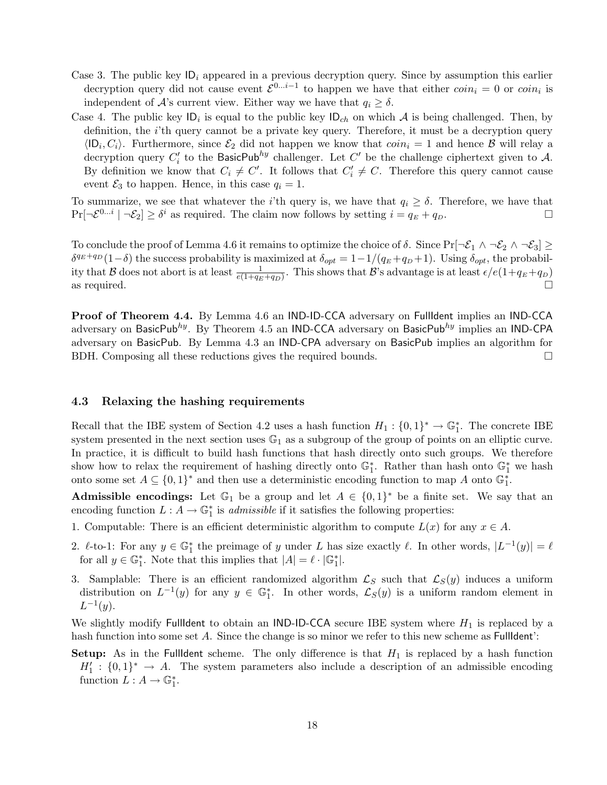- Case 3. The public key  $ID_i$  appeared in a previous decryption query. Since by assumption this earlier decryption query did not cause event  $\mathcal{E}^{0...i-1}$  to happen we have that either  $coin_i = 0$  or  $coin_i$  is independent of  $\mathcal{A}$ 's current view. Either way we have that  $q_i \geq \delta$ .
- Case 4. The public key  $\mathsf{ID}_i$  is equal to the public key  $\mathsf{ID}_{ch}$  on which A is being challenged. Then, by definition, the *i*'th query cannot be a private key query. Therefore, it must be a decryption query  $\langle \mathsf{ID}_i, C_i \rangle$ . Furthermore, since  $\mathcal{E}_2$  did not happen we know that  $coin_i = 1$  and hence  $\mathcal{B}$  will relay a decryption query  $C_i'$  to the BasicPub<sup>hy</sup> challenger. Let  $C'$  be the challenge ciphertext given to A. By definition we know that  $C_i \neq C'$ . It follows that  $C'_i \neq C$ . Therefore this query cannot cause event  $\mathcal{E}_3$  to happen. Hence, in this case  $q_i = 1$ .

To summarize, we see that whatever the *i*'th query is, we have that  $q_i \geq \delta$ . Therefore, we have that  $Pr[\neg \mathcal{E}^{0...i} | \neg \mathcal{E}_2] \geq \delta^i$  as required. The claim now follows by setting  $i = q_E + q_D$ .

To conclude the proof of Lemma 4.6 it remains to optimize the choice of  $\delta$ . Since  $\Pr[\neg \mathcal{E}_1 \land \neg \mathcal{E}_2 \land \neg \mathcal{E}_3] \ge$  $\delta^{q_E+q_D}(1-\delta)$  the success probability is maximized at  $\delta_{opt} = 1-1/(q_E+q_D+1)$ . Using  $\delta_{opt}$ , the probability that  $\mathcal B$  does not abort is at least  $\frac{1}{e(1+q_E+q_D)}$ . This shows that  $\mathcal B$ 's advantage is at least  $\epsilon/e(1+q_E+q_D)$ as required.  $\square$ 

Proof of Theorem 4.4. By Lemma 4.6 an IND-ID-CCA adversary on FullIdent implies an IND-CCA adversary on BasicPub $^{hy}.$  By Theorem 4.5 an IND-CCA adversary on BasicPub $^{hy}$  implies an IND-CPA adversary on BasicPub. By Lemma 4.3 an IND-CPA adversary on BasicPub implies an algorithm for BDH. Composing all these reductions gives the required bounds.

#### 4.3 Relaxing the hashing requirements

Recall that the IBE system of Section 4.2 uses a hash function  $H_1: \{0,1\}^* \to \mathbb{G}_1^*$ . The concrete IBE system presented in the next section uses  $\mathbb{G}_1$  as a subgroup of the group of points on an elliptic curve. In practice, it is difficult to build hash functions that hash directly onto such groups. We therefore show how to relax the requirement of hashing directly onto  $\mathbb{G}_1^*$ . Rather than hash onto  $\mathbb{G}_1^*$  we hash onto some set  $A \subseteq \{0,1\}^*$  and then use a deterministic encoding function to map A onto  $\mathbb{G}_1^*$ .

**Admissible encodings:** Let  $\mathbb{G}_1$  be a group and let  $A \in \{0,1\}^*$  be a finite set. We say that an encoding function  $L: A \to \mathbb{G}_1^*$  is *admissible* if it satisfies the following properties:

- 1. Computable: There is an efficient deterministic algorithm to compute  $L(x)$  for any  $x \in A$ .
- 2.  $\ell$ -to-1: For any  $y \in \mathbb{G}_1^*$  the preimage of y under L has size exactly  $\ell$ . In other words,  $|L^{-1}(y)| = \ell$ for all  $y \in \mathbb{G}_1^*$ . Note that this implies that  $|A| = \ell \cdot |\mathbb{G}_1^*|$ .
- 3. Samplable: There is an efficient randomized algorithm  $\mathcal{L}_S$  such that  $\mathcal{L}_S(y)$  induces a uniform distribution on  $L^{-1}(y)$  for any  $y \in \mathbb{G}_1^*$ . In other words,  $\mathcal{L}_S(y)$  is a uniform random element in  $L^{-1}(y)$ .

We slightly modify Fulldent to obtain an IND-ID-CCA secure IBE system where  $H_1$  is replaced by a hash function into some set A. Since the change is so minor we refer to this new scheme as FullIdent':

**Setup:** As in the Fulldent scheme. The only difference is that  $H_1$  is replaced by a hash function  $H_1' : \{0,1\}^* \to A$ . The system parameters also include a description of an admissible encoding function  $L: A \to \mathbb{G}_1^*$ .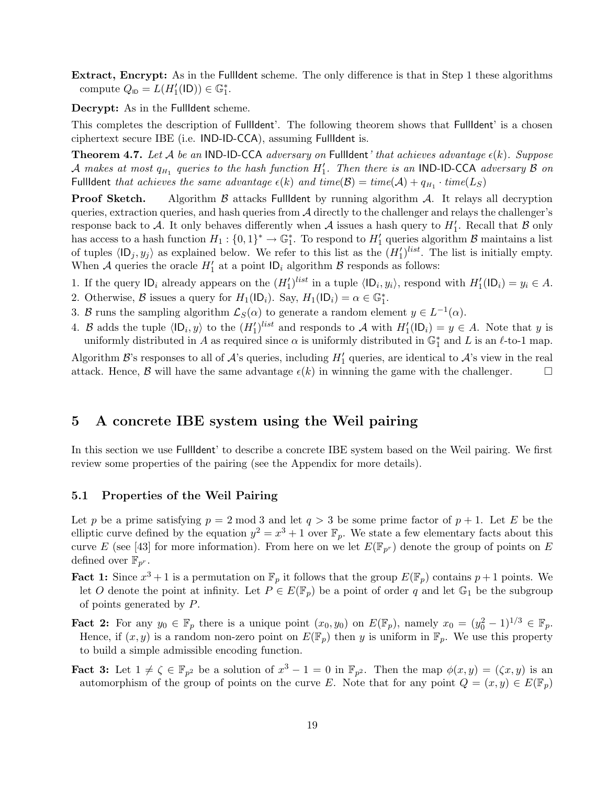Extract, Encrypt: As in the Fulldent scheme. The only difference is that in Step 1 these algorithms compute  $Q_{\text{ID}} = L(H'_1(\text{ID})) \in \mathbb{G}_1^*$ .

Decrypt: As in the FullIdent scheme.

This completes the description of FullIdent'. The following theorem shows that FullIdent' is a chosen ciphertext secure IBE (i.e. IND-ID-CCA), assuming FullIdent is.

**Theorem 4.7.** Let A be an IND-ID-CCA adversary on FullIdent' that achieves advantage  $\epsilon(k)$ . Suppose A makes at most  $q_{H_1}$  queries to the hash function  $H_1'$ . Then there is an **IND-ID-CCA** adversary  $\mathcal B$  on FullIdent that achieves the same advantage  $\epsilon(k)$  and  $time(\mathcal{B}) = time(\mathcal{A}) + q_{H_1} \cdot time(L_S)$ 

**Proof Sketch.** Algorithm  $\beta$  attacks FullIdent by running algorithm  $\mathcal{A}$ . It relays all decryption queries, extraction queries, and hash queries from  $A$  directly to the challenger and relays the challenger's response back to A. It only behaves differently when A issues a hash query to  $H'_1$ . Recall that B only has access to a hash function  $H_1: \{0,1\}^* \to \mathbb{G}_1^*$ . To respond to  $H'_1$  queries algorithm  $\mathcal B$  maintains a list of tuples  $\langle \mathsf{ID}_j, y_j \rangle$  as explained below. We refer to this list as the  $(H'_1)^{list}$ . The list is initially empty. When A queries the oracle  $H'_1$  at a point  $\mathsf{ID}_i$  algorithm B responds as follows:

1. If the query  $\mathsf{ID}_i$  already appears on the  $(H'_1)^{list}$  in a tuple  $\langle \mathsf{ID}_i, y_i \rangle$ , respond with  $H'_1(\mathsf{ID}_i) = y_i \in A$ .

- 2. Otherwise,  $\mathcal B$  issues a query for  $H_1(\mathsf{ID}_i)$ . Say,  $H_1(\mathsf{ID}_i) = \alpha \in \mathbb{G}_1^*$ .
- 3. B runs the sampling algorithm  $\mathcal{L}_S(\alpha)$  to generate a random element  $y \in L^{-1}(\alpha)$ .
- 4. B adds the tuple  $\langle \mathsf{ID}_i, y \rangle$  to the  $(H'_1)^{list}$  and responds to A with  $H'_1(\mathsf{ID}_i) = y \in A$ . Note that y is uniformly distributed in A as required since  $\alpha$  is uniformly distributed in  $\mathbb{G}_1^*$  and L is an  $\ell$ -to-1 map.

Algorithm  $\mathcal{B}$ 's responses to all of  $\mathcal{A}$ 's queries, including  $H'_1$  queries, are identical to  $\mathcal{A}$ 's view in the real attack. Hence, B will have the same advantage  $\epsilon(k)$  in winning the game with the challenger.

# 5 A concrete IBE system using the Weil pairing

In this section we use FullIdent' to describe a concrete IBE system based on the Weil pairing. We first review some properties of the pairing (see the Appendix for more details).

#### 5.1 Properties of the Weil Pairing

Let p be a prime satisfying  $p = 2 \mod 3$  and let  $q > 3$  be some prime factor of  $p + 1$ . Let E be the elliptic curve defined by the equation  $y^2 = x^3 + 1$  over  $\mathbb{F}_p$ . We state a few elementary facts about this curve E (see [43] for more information). From here on we let  $E(\mathbb{F}_{p^r})$  denote the group of points on E defined over  $\mathbb{F}_{p^r}$ .

- **Fact 1:** Since  $x^3 + 1$  is a permutation on  $\mathbb{F}_p$  it follows that the group  $E(\mathbb{F}_p)$  contains  $p + 1$  points. We let O denote the point at infinity. Let  $P \in E(\mathbb{F}_p)$  be a point of order q and let  $\mathbb{G}_1$  be the subgroup of points generated by P.
- **Fact 2:** For any  $y_0 \in \mathbb{F}_p$  there is a unique point  $(x_0, y_0)$  on  $E(\mathbb{F}_p)$ , namely  $x_0 = (y_0^2 1)^{1/3} \in \mathbb{F}_p$ . Hence, if  $(x, y)$  is a random non-zero point on  $E(\mathbb{F}_p)$  then y is uniform in  $\mathbb{F}_p$ . We use this property to build a simple admissible encoding function.
- **Fact 3:** Let  $1 \neq \zeta \in \mathbb{F}_{p^2}$  be a solution of  $x^3 1 = 0$  in  $\mathbb{F}_{p^2}$ . Then the map  $\phi(x, y) = (\zeta x, y)$  is an automorphism of the group of points on the curve E. Note that for any point  $Q = (x, y) \in E(\mathbb{F}_p)$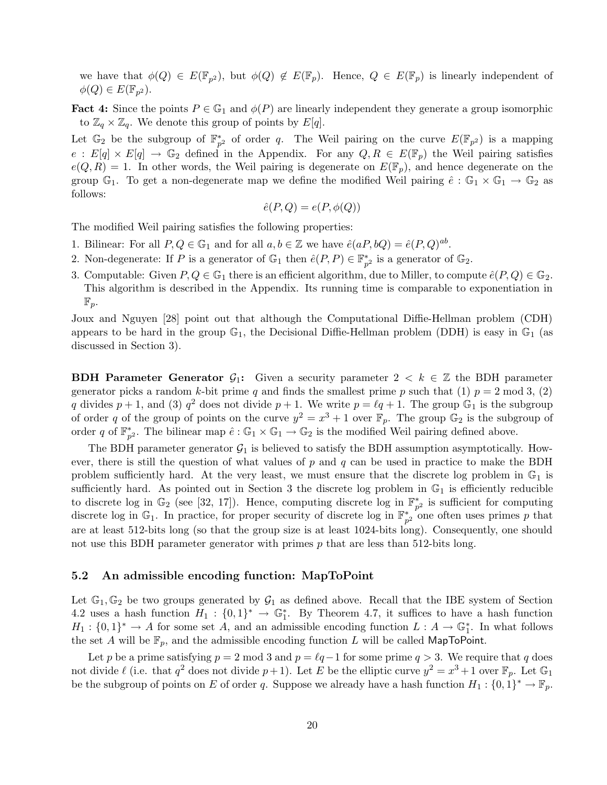we have that  $\phi(Q) \in E(\mathbb{F}_{p^2})$ , but  $\phi(Q) \notin E(\mathbb{F}_p)$ . Hence,  $Q \in E(\mathbb{F}_p)$  is linearly independent of  $\phi(Q) \in E(\mathbb{F}_{p^2}).$ 

**Fact 4:** Since the points  $P \in \mathbb{G}_1$  and  $\phi(P)$  are linearly independent they generate a group isomorphic to  $\mathbb{Z}_q \times \mathbb{Z}_q$ . We denote this group of points by  $E[q]$ .

Let  $\mathbb{G}_2$  be the subgroup of  $\mathbb{F}_{p^2}^*$  of order q. The Weil pairing on the curve  $E(\mathbb{F}_{p^2})$  is a mapping  $e: E[q] \times E[q] \to \mathbb{G}_2$  defined in the Appendix. For any  $Q, R \in E(\mathbb{F}_p)$  the Weil pairing satisfies  $e(Q, R) = 1$ . In other words, the Weil pairing is degenerate on  $E(\mathbb{F}_p)$ , and hence degenerate on the group  $\mathbb{G}_1$ . To get a non-degenerate map we define the modified Weil pairing  $\hat{e}: \mathbb{G}_1 \times \mathbb{G}_1 \to \mathbb{G}_2$  as follows:

$$
\hat{e}(P,Q) = e(P,\phi(Q))
$$

The modified Weil pairing satisfies the following properties:

- 1. Bilinear: For all  $P, Q \in \mathbb{G}_1$  and for all  $a, b \in \mathbb{Z}$  we have  $\hat{e}(aP, bQ) = \hat{e}(P, Q)^{ab}$ .
- 2. Non-degenerate: If P is a generator of  $\mathbb{G}_1$  then  $\hat{e}(P, P) \in \mathbb{F}_{p^2}^*$  is a generator of  $\mathbb{G}_2$ .
- 3. Computable: Given  $P, Q \in \mathbb{G}_1$  there is an efficient algorithm, due to Miller, to compute  $\hat{e}(P, Q) \in \mathbb{G}_2$ . This algorithm is described in the Appendix. Its running time is comparable to exponentiation in  $\mathbb{F}_p$ .

Joux and Nguyen [28] point out that although the Computational Diffie-Hellman problem (CDH) appears to be hard in the group  $\mathbb{G}_1$ , the Decisional Diffie-Hellman problem (DDH) is easy in  $\mathbb{G}_1$  (as discussed in Section 3).

**BDH Parameter Generator G<sub>1</sub>:** Given a security parameter  $2 < k \in \mathbb{Z}$  the BDH parameter generator picks a random k-bit prime q and finds the smallest prime p such that (1)  $p = 2 \text{ mod } 3$ , (2) q divides  $p + 1$ , and (3)  $q^2$  does not divide  $p + 1$ . We write  $p = \ell q + 1$ . The group  $\mathbb{G}_1$  is the subgroup of order q of the group of points on the curve  $y^2 = x^3 + 1$  over  $\mathbb{F}_p$ . The group  $\mathbb{G}_2$  is the subgroup of order q of  $\mathbb{F}_{p^2}^*$ . The bilinear map  $\hat{e}: \mathbb{G}_1 \times \mathbb{G}_1 \to \mathbb{G}_2$  is the modified Weil pairing defined above.

The BDH parameter generator  $\mathcal{G}_1$  is believed to satisfy the BDH assumption asymptotically. However, there is still the question of what values of  $p$  and  $q$  can be used in practice to make the BDH problem sufficiently hard. At the very least, we must ensure that the discrete log problem in  $\mathbb{G}_1$  is sufficiently hard. As pointed out in Section 3 the discrete log problem in  $\mathbb{G}_1$  is efficiently reducible to discrete log in  $\mathbb{G}_2$  (see [32, 17]). Hence, computing discrete log in  $\mathbb{F}_{p^2}^*$  is sufficient for computing discrete log in  $\mathbb{G}_1$ . In practice, for proper security of discrete log in  $\mathbb{F}_{p^2}^*$  one often uses primes p that are at least 512-bits long (so that the group size is at least 1024-bits long). Consequently, one should not use this BDH parameter generator with primes  $p$  that are less than 512-bits long.

#### 5.2 An admissible encoding function: MapToPoint

Let  $\mathbb{G}_1, \mathbb{G}_2$  be two groups generated by  $\mathcal{G}_1$  as defined above. Recall that the IBE system of Section 4.2 uses a hash function  $H_1: \{0,1\}^* \to \mathbb{G}_1^*$ . By Theorem 4.7, it suffices to have a hash function  $H_1: \{0,1\}^* \to A$  for some set A, and an admissible encoding function  $L: A \to \mathbb{G}_1^*$ . In what follows the set A will be  $\mathbb{F}_p$ , and the admissible encoding function L will be called MapToPoint.

Let p be a prime satisfying  $p = 2 \mod 3$  and  $p = \ell q - 1$  for some prime  $q > 3$ . We require that q does not divide  $\ell$  (i.e. that  $q^2$  does not divide  $p+1$ ). Let E be the elliptic curve  $y^2 = x^3 + 1$  over  $\mathbb{F}_p$ . Let  $\mathbb{G}_1$ be the subgroup of points on E of order q. Suppose we already have a hash function  $H_1: \{0, 1\}^* \to \mathbb{F}_p$ .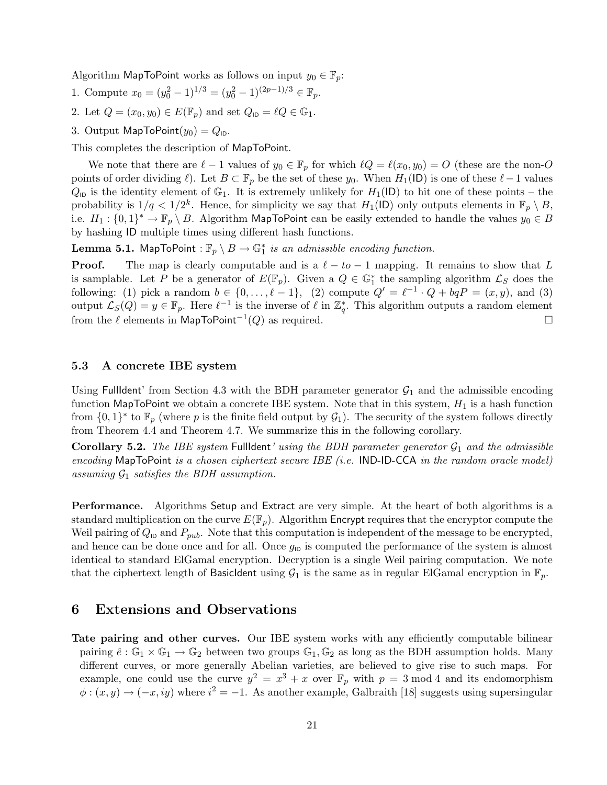Algorithm MapToPoint works as follows on input  $y_0 \in \mathbb{F}_p$ :

- 1. Compute  $x_0 = (y_0^2 1)^{1/3} = (y_0^2 1)^{(2p-1)/3} \in \mathbb{F}_p$ .
- 2. Let  $Q = (x_0, y_0) \in E(\mathbb{F}_p)$  and set  $Q_{\mathsf{ID}} = \ell Q \in \mathbb{G}_1$ .
- 3. Output MapToPoint $(y_0) = Q_{\text{ID}}$ .

This completes the description of MapToPoint.

We note that there are  $\ell - 1$  values of  $y_0 \in \mathbb{F}_p$  for which  $\ell Q = \ell(x_0, y_0) = O$  (these are the non-O points of order dividing  $\ell$ ). Let  $B \subset \mathbb{F}_p$  be the set of these  $y_0$ . When  $H_1(\mathsf{ID})$  is one of these  $\ell-1$  values  $Q_{\text{ID}}$  is the identity element of  $\mathbb{G}_1$ . It is extremely unlikely for  $H_1(\mathsf{ID})$  to hit one of these points – the probability is  $1/q < 1/2^k$ . Hence, for simplicity we say that  $H_1(\mathsf{ID})$  only outputs elements in  $\mathbb{F}_p \setminus B$ , i.e.  $H_1: \{0,1\}^* \to \mathbb{F}_p \setminus B$ . Algorithm MapToPoint can be easily extended to handle the values  $y_0 \in B$ by hashing ID multiple times using different hash functions.

**Lemma 5.1.** MapToPoint :  $\mathbb{F}_p \setminus B \to \mathbb{G}_1^*$  is an admissible encoding function.

**Proof.** The map is clearly computable and is a  $\ell - t$  – 1 mapping. It remains to show that L is samplable. Let P be a generator of  $E(\mathbb{F}_p)$ . Given a  $Q \in \mathbb{G}_1^*$  the sampling algorithm  $\mathcal{L}_S$  does the following: (1) pick a random  $b \in \{0, \ldots, \ell - 1\}$ , (2) compute  $Q' = \ell^{-1} \cdot Q + bqP = (x, y)$ , and (3) output  $\mathcal{L}_S(Q) = y \in \mathbb{F}_p$ . Here  $\ell^{-1}$  is the inverse of  $\ell$  in  $\mathbb{Z}_q^*$ . This algorithm outputs a random element from the  $\ell$  elements in MapToPoint<sup>-1</sup>(*Q*) as required.  $□$ 

#### 5.3 A concrete IBE system

Using Fulldent' from Section 4.3 with the BDH parameter generator  $\mathcal{G}_1$  and the admissible encoding function MapToPoint we obtain a concrete IBE system. Note that in this system,  $H_1$  is a hash function from  $\{0,1\}^*$  to  $\mathbb{F}_p$  (where p is the finite field output by  $\mathcal{G}_1$ ). The security of the system follows directly from Theorem 4.4 and Theorem 4.7. We summarize this in the following corollary.

Corollary 5.2. The IBE system FullIdent' using the BDH parameter generator  $G_1$  and the admissible encoding MapToPoint is a chosen ciphertext secure IBE (i.e. IND-ID-CCA in the random oracle model) assuming  $G_1$  satisfies the BDH assumption.

Performance. Algorithms Setup and Extract are very simple. At the heart of both algorithms is a standard multiplication on the curve  $E(\mathbb{F}_p)$ . Algorithm Encrypt requires that the encryptor compute the Weil pairing of  $Q_{\text{ID}}$  and  $P_{pub}$ . Note that this computation is independent of the message to be encrypted, and hence can be done once and for all. Once  $g_{\text{ID}}$  is computed the performance of the system is almost identical to standard ElGamal encryption. Decryption is a single Weil pairing computation. We note that the ciphertext length of BasicIdent using  $G_1$  is the same as in regular ElGamal encryption in  $\mathbb{F}_p$ .

### 6 Extensions and Observations

Tate pairing and other curves. Our IBE system works with any efficiently computable bilinear pairing  $\hat{e}: \mathbb{G}_1 \times \mathbb{G}_1 \to \mathbb{G}_2$  between two groups  $\mathbb{G}_1, \mathbb{G}_2$  as long as the BDH assumption holds. Many different curves, or more generally Abelian varieties, are believed to give rise to such maps. For example, one could use the curve  $y^2 = x^3 + x$  over  $\mathbb{F}_p$  with  $p = 3 \mod 4$  and its endomorphism  $\phi: (x, y) \to (-x, iy)$  where  $i^2 = -1$ . As another example, Galbraith [18] suggests using supersingular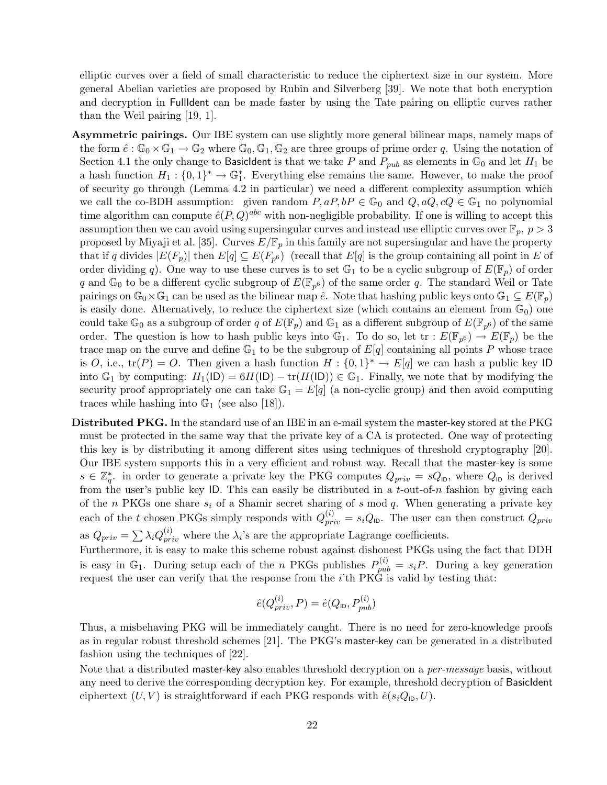elliptic curves over a field of small characteristic to reduce the ciphertext size in our system. More general Abelian varieties are proposed by Rubin and Silverberg [39]. We note that both encryption and decryption in FullIdent can be made faster by using the Tate pairing on elliptic curves rather than the Weil pairing [19, 1].

- Asymmetric pairings. Our IBE system can use slightly more general bilinear maps, namely maps of the form  $\hat{e}: \mathbb{G}_0 \times \mathbb{G}_1 \to \mathbb{G}_2$  where  $\mathbb{G}_0, \mathbb{G}_1, \mathbb{G}_2$  are three groups of prime order q. Using the notation of Section 4.1 the only change to BasicIdent is that we take P and  $P_{pub}$  as elements in  $\mathbb{G}_0$  and let  $H_1$  be a hash function  $H_1: \{0,1\}^* \to \mathbb{G}_1^*$ . Everything else remains the same. However, to make the proof of security go through (Lemma 4.2 in particular) we need a different complexity assumption which we call the co-BDH assumption: given random  $P, aP, bP \in \mathbb{G}_0$  and  $Q, aQ, cQ \in \mathbb{G}_1$  no polynomial time algorithm can compute  $\hat{e}(P,Q)^{abc}$  with non-negligible probability. If one is willing to accept this assumption then we can avoid using supersingular curves and instead use elliptic curves over  $\mathbb{F}_p$ ,  $p > 3$ proposed by Miyaji et al. [35]. Curves  $E/\mathbb{F}_p$  in this family are not supersingular and have the property that if q divides  $|E(F_p)|$  then  $E[q] \subseteq E(F_{p^6})$  (recall that  $E[q]$  is the group containing all point in E of order dividing q). One way to use these curves is to set  $\mathbb{G}_1$  to be a cyclic subgroup of  $E(\mathbb{F}_p)$  of order q and  $\mathbb{G}_0$  to be a different cyclic subgroup of  $E(\mathbb{F}_{p^6})$  of the same order q. The standard Weil or Tate pairings on  $\mathbb{G}_0\times\mathbb{G}_1$  can be used as the bilinear map  $\hat{e}$ . Note that hashing public keys onto  $\mathbb{G}_1\subseteq E(\mathbb{F}_p)$ is easily done. Alternatively, to reduce the ciphertext size (which contains an element from  $\mathbb{G}_0$ ) one could take  $\mathbb{G}_0$  as a subgroup of order q of  $E(\mathbb{F}_p)$  and  $\mathbb{G}_1$  as a different subgroup of  $E(\mathbb{F}_{p^6})$  of the same order. The question is how to hash public keys into  $\mathbb{G}_1$ . To do so, let  $\mathrm{tr}: E(\mathbb{F}_{p^6}) \to E(\mathbb{F}_p)$  be the trace map on the curve and define  $\mathbb{G}_1$  to be the subgroup of  $E[q]$  containing all points P whose trace is O, i.e.,  $tr(P) = O$ . Then given a hash function  $H : \{0,1\}^* \to E[q]$  we can hash a public key ID into  $\mathbb{G}_1$  by computing:  $H_1(\mathsf{ID}) = 6H(\mathsf{ID}) - \text{tr}(H(\mathsf{ID})) \in \mathbb{G}_1$ . Finally, we note that by modifying the security proof appropriately one can take  $\mathbb{G}_1 = E[q]$  (a non-cyclic group) and then avoid computing traces while hashing into  $\mathbb{G}_1$  (see also [18]).
- Distributed PKG. In the standard use of an IBE in an e-mail system the master-key stored at the PKG must be protected in the same way that the private key of a CA is protected. One way of protecting this key is by distributing it among different sites using techniques of threshold cryptography [20]. Our IBE system supports this in a very efficient and robust way. Recall that the master-key is some  $s \in \mathbb{Z}_q^*$  in order to generate a private key the PKG computes  $Q_{priv} = sQ_{\text{ID}}$ , where  $Q_{\text{ID}}$  is derived from the user's public key ID. This can easily be distributed in a  $t$ -out-of-n fashion by giving each of the n PKGs one share  $s_i$  of a Shamir secret sharing of s mod q. When generating a private key each of the t chosen PKGs simply responds with  $Q_{priv}^{(i)} = s_i Q_{ID}$ . The user can then construct  $Q_{priv}$ as  $Q_{priv} = \sum \lambda_i Q_{priv}^{(i)}$  where the  $\lambda_i$ 's are the appropriate Lagrange coefficients.

Furthermore, it is easy to make this scheme robust against dishonest PKGs using the fact that DDH is easy in  $\mathbb{G}_1$ . During setup each of the n PKGs publishes  $P_{pub}^{(i)} = s_i P$ . During a key generation request the user can verify that the response from the *i*'th PKG is valid by testing that:

$$
\hat{e}(Q_{priv}^{(i)},P) = \hat{e}(Q_{\text{ID}},P_{pub}^{(i)})
$$

Thus, a misbehaving PKG will be immediately caught. There is no need for zero-knowledge proofs as in regular robust threshold schemes [21]. The PKG's master-key can be generated in a distributed fashion using the techniques of [22].

Note that a distributed master-key also enables threshold decryption on a per-message basis, without any need to derive the corresponding decryption key. For example, threshold decryption of BasicIdent ciphertext  $(U, V)$  is straightforward if each PKG responds with  $\hat{e}(s_iQ_{\text{ID}}, U)$ .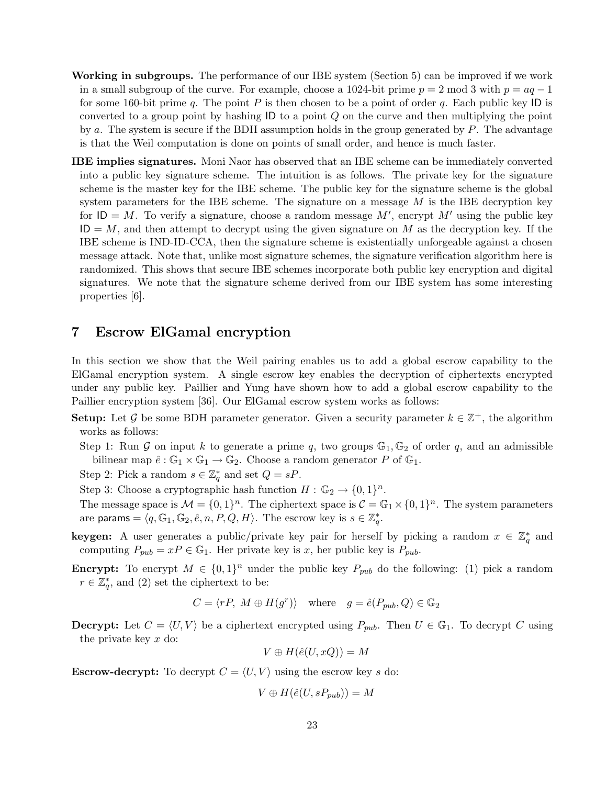- Working in subgroups. The performance of our IBE system (Section 5) can be improved if we work in a small subgroup of the curve. For example, choose a 1024-bit prime  $p = 2 \text{ mod } 3$  with  $p = aq - 1$ for some 160-bit prime q. The point  $P$  is then chosen to be a point of order q. Each public key ID is converted to a group point by hashing  $\mathsf{ID}$  to a point  $Q$  on the curve and then multiplying the point by a. The system is secure if the BDH assumption holds in the group generated by  $P$ . The advantage is that the Weil computation is done on points of small order, and hence is much faster.
- IBE implies signatures. Moni Naor has observed that an IBE scheme can be immediately converted into a public key signature scheme. The intuition is as follows. The private key for the signature scheme is the master key for the IBE scheme. The public key for the signature scheme is the global system parameters for the IBE scheme. The signature on a message  $M$  is the IBE decryption key for  $ID = M$ . To verify a signature, choose a random message M', encrypt M' using the public key  $ID = M$ , and then attempt to decrypt using the given signature on M as the decryption key. If the IBE scheme is IND-ID-CCA, then the signature scheme is existentially unforgeable against a chosen message attack. Note that, unlike most signature schemes, the signature verification algorithm here is randomized. This shows that secure IBE schemes incorporate both public key encryption and digital signatures. We note that the signature scheme derived from our IBE system has some interesting properties [6].

### 7 Escrow ElGamal encryption

In this section we show that the Weil pairing enables us to add a global escrow capability to the ElGamal encryption system. A single escrow key enables the decryption of ciphertexts encrypted under any public key. Paillier and Yung have shown how to add a global escrow capability to the Paillier encryption system [36]. Our ElGamal escrow system works as follows:

- **Setup:** Let G be some BDH parameter generator. Given a security parameter  $k \in \mathbb{Z}^+$ , the algorithm works as follows:
- Step 1: Run G on input k to generate a prime q, two groups  $\mathbb{G}_1, \mathbb{G}_2$  of order q, and an admissible bilinear map  $\hat{e} : \mathbb{G}_1 \times \mathbb{G}_1 \to \mathbb{G}_2$ . Choose a random generator P of  $\mathbb{G}_1$ .
- Step 2: Pick a random  $s \in \mathbb{Z}_q^*$  and set  $Q = sP$ .
- Step 3: Choose a cryptographic hash function  $H: \mathbb{G}_2 \to \{0,1\}^n$ .
- The message space is  $\mathcal{M} = \{0,1\}^n$ . The ciphertext space is  $\mathcal{C} = \mathbb{G}_1 \times \{0,1\}^n$ . The system parameters are params =  $\langle q, \mathbb{G}_1, \mathbb{G}_2, \hat{e}, n, P, Q, H \rangle$ . The escrow key is  $s \in \mathbb{Z}_q^*$ .
- **keygen:** A user generates a public/private key pair for herself by picking a random  $x \in \mathbb{Z}_q^*$  and computing  $P_{pub} = xP \in \mathbb{G}_1$ . Her private key is x, her public key is  $P_{pub}$ .
- **Encrypt:** To encrypt  $M \in \{0,1\}^n$  under the public key  $P_{pub}$  do the following: (1) pick a random  $r \in \mathbb{Z}_q^*$ , and (2) set the ciphertext to be:

$$
C = \langle rP, M \oplus H(g^r) \rangle \quad \text{where} \quad g = \hat{e}(P_{pub}, Q) \in \mathbb{G}_2
$$

**Decrypt:** Let  $C = \langle U, V \rangle$  be a ciphertext encrypted using  $P_{pub}$ . Then  $U \in \mathbb{G}_1$ . To decrypt C using the private key  $x$  do:

$$
V \oplus H(\hat{e}(U, xQ)) = M
$$

**Escrow-decrypt:** To decrypt  $C = \langle U, V \rangle$  using the escrow key s do:

$$
V \oplus H(\hat{e}(U, sP_{pub})) = M
$$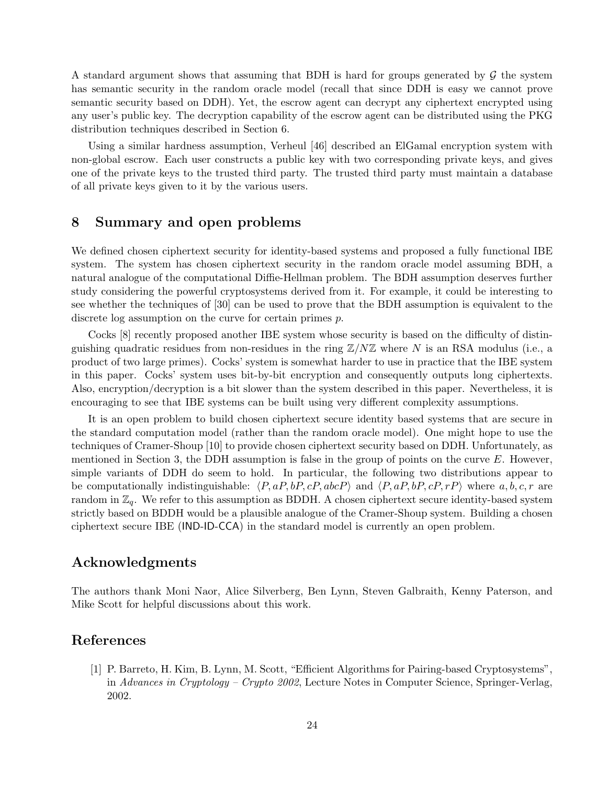A standard argument shows that assuming that BDH is hard for groups generated by  $\mathcal G$  the system has semantic security in the random oracle model (recall that since DDH is easy we cannot prove semantic security based on DDH). Yet, the escrow agent can decrypt any ciphertext encrypted using any user's public key. The decryption capability of the escrow agent can be distributed using the PKG distribution techniques described in Section 6.

Using a similar hardness assumption, Verheul [46] described an ElGamal encryption system with non-global escrow. Each user constructs a public key with two corresponding private keys, and gives one of the private keys to the trusted third party. The trusted third party must maintain a database of all private keys given to it by the various users.

### 8 Summary and open problems

We defined chosen ciphertext security for identity-based systems and proposed a fully functional IBE system. The system has chosen ciphertext security in the random oracle model assuming BDH, a natural analogue of the computational Diffie-Hellman problem. The BDH assumption deserves further study considering the powerful cryptosystems derived from it. For example, it could be interesting to see whether the techniques of [30] can be used to prove that the BDH assumption is equivalent to the discrete log assumption on the curve for certain primes p.

Cocks [8] recently proposed another IBE system whose security is based on the difficulty of distinguishing quadratic residues from non-residues in the ring  $\mathbb{Z}/N\mathbb{Z}$  where N is an RSA modulus (i.e., a product of two large primes). Cocks' system is somewhat harder to use in practice that the IBE system in this paper. Cocks' system uses bit-by-bit encryption and consequently outputs long ciphertexts. Also, encryption/decryption is a bit slower than the system described in this paper. Nevertheless, it is encouraging to see that IBE systems can be built using very different complexity assumptions.

It is an open problem to build chosen ciphertext secure identity based systems that are secure in the standard computation model (rather than the random oracle model). One might hope to use the techniques of Cramer-Shoup [10] to provide chosen ciphertext security based on DDH. Unfortunately, as mentioned in Section 3, the DDH assumption is false in the group of points on the curve  $E$ . However, simple variants of DDH do seem to hold. In particular, the following two distributions appear to be computationally indistinguishable:  $\langle P, aP, bP, cP, abcP \rangle$  and  $\langle P, aP, bP, cP, rP \rangle$  where a, b, c, r are random in  $\mathbb{Z}_q$ . We refer to this assumption as BDDH. A chosen ciphertext secure identity-based system strictly based on BDDH would be a plausible analogue of the Cramer-Shoup system. Building a chosen ciphertext secure IBE (IND-ID-CCA) in the standard model is currently an open problem.

# Acknowledgments

The authors thank Moni Naor, Alice Silverberg, Ben Lynn, Steven Galbraith, Kenny Paterson, and Mike Scott for helpful discussions about this work.

# References

[1] P. Barreto, H. Kim, B. Lynn, M. Scott, "Efficient Algorithms for Pairing-based Cryptosystems", in Advances in Cryptology – Crypto 2002, Lecture Notes in Computer Science, Springer-Verlag, 2002.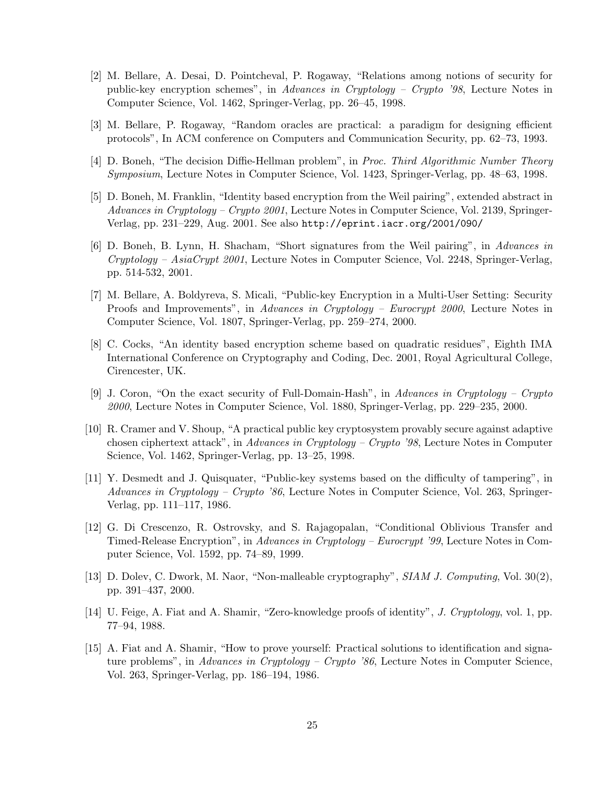- [2] M. Bellare, A. Desai, D. Pointcheval, P. Rogaway, "Relations among notions of security for public-key encryption schemes", in Advances in Cryptology – Crypto '98, Lecture Notes in Computer Science, Vol. 1462, Springer-Verlag, pp. 26–45, 1998.
- [3] M. Bellare, P. Rogaway, "Random oracles are practical: a paradigm for designing efficient protocols", In ACM conference on Computers and Communication Security, pp. 62–73, 1993.
- [4] D. Boneh, "The decision Diffie-Hellman problem", in Proc. Third Algorithmic Number Theory Symposium, Lecture Notes in Computer Science, Vol. 1423, Springer-Verlag, pp. 48–63, 1998.
- [5] D. Boneh, M. Franklin, "Identity based encryption from the Weil pairing", extended abstract in Advances in Cryptology – Crypto 2001, Lecture Notes in Computer Science, Vol. 2139, Springer-Verlag, pp. 231–229, Aug. 2001. See also http://eprint.iacr.org/2001/090/
- [6] D. Boneh, B. Lynn, H. Shacham, "Short signatures from the Weil pairing", in Advances in Cryptology – AsiaCrypt 2001, Lecture Notes in Computer Science, Vol. 2248, Springer-Verlag, pp. 514-532, 2001.
- [7] M. Bellare, A. Boldyreva, S. Micali, "Public-key Encryption in a Multi-User Setting: Security Proofs and Improvements", in Advances in Cryptology – Eurocrypt 2000, Lecture Notes in Computer Science, Vol. 1807, Springer-Verlag, pp. 259–274, 2000.
- [8] C. Cocks, "An identity based encryption scheme based on quadratic residues", Eighth IMA International Conference on Cryptography and Coding, Dec. 2001, Royal Agricultural College, Cirencester, UK.
- [9] J. Coron, "On the exact security of Full-Domain-Hash", in Advances in Cryptology Crypto 2000, Lecture Notes in Computer Science, Vol. 1880, Springer-Verlag, pp. 229–235, 2000.
- [10] R. Cramer and V. Shoup, "A practical public key cryptosystem provably secure against adaptive chosen ciphertext attack", in Advances in Cryptology – Crypto '98, Lecture Notes in Computer Science, Vol. 1462, Springer-Verlag, pp. 13–25, 1998.
- [11] Y. Desmedt and J. Quisquater, "Public-key systems based on the difficulty of tampering", in Advances in Cryptology – Crypto '86, Lecture Notes in Computer Science, Vol. 263, Springer-Verlag, pp. 111–117, 1986.
- [12] G. Di Crescenzo, R. Ostrovsky, and S. Rajagopalan, "Conditional Oblivious Transfer and Timed-Release Encryption", in Advances in Cryptology – Eurocrypt '99, Lecture Notes in Computer Science, Vol. 1592, pp. 74–89, 1999.
- [13] D. Dolev, C. Dwork, M. Naor, "Non-malleable cryptography", SIAM J. Computing, Vol. 30(2), pp. 391–437, 2000.
- [14] U. Feige, A. Fiat and A. Shamir, "Zero-knowledge proofs of identity", J. Cryptology, vol. 1, pp. 77–94, 1988.
- [15] A. Fiat and A. Shamir, "How to prove yourself: Practical solutions to identification and signature problems", in Advances in Cryptology – Crypto '86, Lecture Notes in Computer Science, Vol. 263, Springer-Verlag, pp. 186–194, 1986.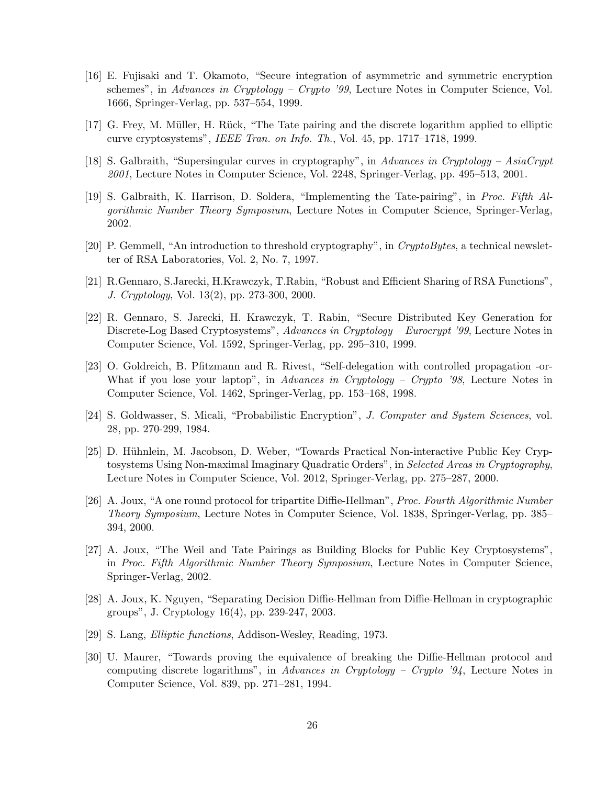- [16] E. Fujisaki and T. Okamoto, "Secure integration of asymmetric and symmetric encryption schemes", in Advances in Cryptology – Crypto '99, Lecture Notes in Computer Science, Vol. 1666, Springer-Verlag, pp. 537–554, 1999.
- [17] G. Frey, M. Müller, H. Rück, "The Tate pairing and the discrete logarithm applied to elliptic curve cryptosystems", IEEE Tran. on Info. Th., Vol. 45, pp.  $1717-1718$ , 1999.
- [18] S. Galbraith, "Supersingular curves in cryptography", in Advances in Cryptology AsiaCrypt 2001, Lecture Notes in Computer Science, Vol. 2248, Springer-Verlag, pp. 495–513, 2001.
- [19] S. Galbraith, K. Harrison, D. Soldera, "Implementing the Tate-pairing", in Proc. Fifth Algorithmic Number Theory Symposium, Lecture Notes in Computer Science, Springer-Verlag, 2002.
- [20] P. Gemmell, "An introduction to threshold cryptography", in CryptoBytes, a technical newsletter of RSA Laboratories, Vol. 2, No. 7, 1997.
- [21] R.Gennaro, S.Jarecki, H.Krawczyk, T.Rabin, "Robust and Efficient Sharing of RSA Functions", J. Cryptology, Vol. 13(2), pp. 273-300, 2000.
- [22] R. Gennaro, S. Jarecki, H. Krawczyk, T. Rabin, "Secure Distributed Key Generation for Discrete-Log Based Cryptosystems", Advances in Cryptology – Eurocrypt '99, Lecture Notes in Computer Science, Vol. 1592, Springer-Verlag, pp. 295–310, 1999.
- [23] O. Goldreich, B. Pfitzmann and R. Rivest, "Self-delegation with controlled propagation -or-What if you lose your laptop", in Advances in Cryptology – Crypto '98, Lecture Notes in Computer Science, Vol. 1462, Springer-Verlag, pp. 153–168, 1998.
- [24] S. Goldwasser, S. Micali, "Probabilistic Encryption", J. Computer and System Sciences, vol. 28, pp. 270-299, 1984.
- [25] D. Hühnlein, M. Jacobson, D. Weber, "Towards Practical Non-interactive Public Key Cryptosystems Using Non-maximal Imaginary Quadratic Orders", in Selected Areas in Cryptography, Lecture Notes in Computer Science, Vol. 2012, Springer-Verlag, pp. 275–287, 2000.
- [26] A. Joux, "A one round protocol for tripartite Diffie-Hellman", Proc. Fourth Algorithmic Number Theory Symposium, Lecture Notes in Computer Science, Vol. 1838, Springer-Verlag, pp. 385– 394, 2000.
- [27] A. Joux, "The Weil and Tate Pairings as Building Blocks for Public Key Cryptosystems", in Proc. Fifth Algorithmic Number Theory Symposium, Lecture Notes in Computer Science, Springer-Verlag, 2002.
- [28] A. Joux, K. Nguyen, "Separating Decision Diffie-Hellman from Diffie-Hellman in cryptographic groups", J. Cryptology 16(4), pp. 239-247, 2003.
- [29] S. Lang, Elliptic functions, Addison-Wesley, Reading, 1973.
- [30] U. Maurer, "Towards proving the equivalence of breaking the Diffie-Hellman protocol and computing discrete logarithms", in Advances in Cryptology - Crypto '94, Lecture Notes in Computer Science, Vol. 839, pp. 271–281, 1994.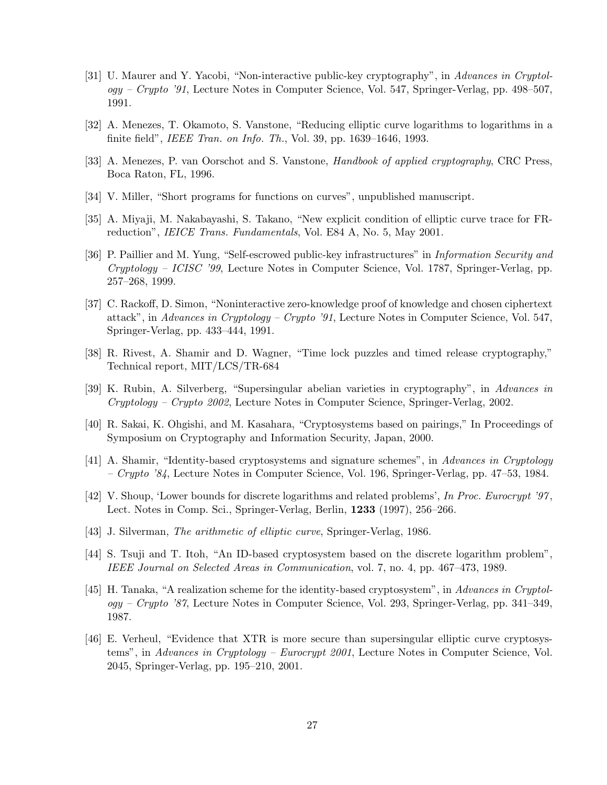- [31] U. Maurer and Y. Yacobi, "Non-interactive public-key cryptography", in Advances in Cryptol $ogy - Crypto$  '91, Lecture Notes in Computer Science, Vol. 547, Springer-Verlag, pp. 498–507, 1991.
- [32] A. Menezes, T. Okamoto, S. Vanstone, "Reducing elliptic curve logarithms to logarithms in a finite field", IEEE Tran. on Info. Th., Vol. 39, pp. 1639–1646, 1993.
- [33] A. Menezes, P. van Oorschot and S. Vanstone, Handbook of applied cryptography, CRC Press, Boca Raton, FL, 1996.
- [34] V. Miller, "Short programs for functions on curves", unpublished manuscript.
- [35] A. Miyaji, M. Nakabayashi, S. Takano, "New explicit condition of elliptic curve trace for FRreduction", IEICE Trans. Fundamentals, Vol. E84 A, No. 5, May 2001.
- [36] P. Paillier and M. Yung, "Self-escrowed public-key infrastructures" in Information Security and Cryptology – ICISC '99, Lecture Notes in Computer Science, Vol. 1787, Springer-Verlag, pp. 257–268, 1999.
- [37] C. Rackoff, D. Simon, "Noninteractive zero-knowledge proof of knowledge and chosen ciphertext attack", in Advances in Cryptology – Crypto '91, Lecture Notes in Computer Science, Vol. 547, Springer-Verlag, pp. 433–444, 1991.
- [38] R. Rivest, A. Shamir and D. Wagner, "Time lock puzzles and timed release cryptography," Technical report, MIT/LCS/TR-684
- [39] K. Rubin, A. Silverberg, "Supersingular abelian varieties in cryptography", in Advances in Cryptology – Crypto 2002, Lecture Notes in Computer Science, Springer-Verlag, 2002.
- [40] R. Sakai, K. Ohgishi, and M. Kasahara, "Cryptosystems based on pairings," In Proceedings of Symposium on Cryptography and Information Security, Japan, 2000.
- [41] A. Shamir, "Identity-based cryptosystems and signature schemes", in Advances in Cryptology – Crypto '84, Lecture Notes in Computer Science, Vol. 196, Springer-Verlag, pp. 47–53, 1984.
- [42] V. Shoup, 'Lower bounds for discrete logarithms and related problems', In Proc. Eurocrypt '97 , Lect. Notes in Comp. Sci., Springer-Verlag, Berlin, 1233 (1997), 256–266.
- [43] J. Silverman, *The arithmetic of elliptic curve*, Springer-Verlag, 1986.
- [44] S. Tsuji and T. Itoh, "An ID-based cryptosystem based on the discrete logarithm problem", IEEE Journal on Selected Areas in Communication, vol. 7, no. 4, pp. 467–473, 1989.
- [45] H. Tanaka, "A realization scheme for the identity-based cryptosystem", in Advances in Cryptol $oqy - Crypto$  '87, Lecture Notes in Computer Science, Vol. 293, Springer-Verlag, pp. 341–349, 1987.
- [46] E. Verheul, "Evidence that XTR is more secure than supersingular elliptic curve cryptosystems", in Advances in Cryptology – Eurocrypt 2001, Lecture Notes in Computer Science, Vol. 2045, Springer-Verlag, pp. 195–210, 2001.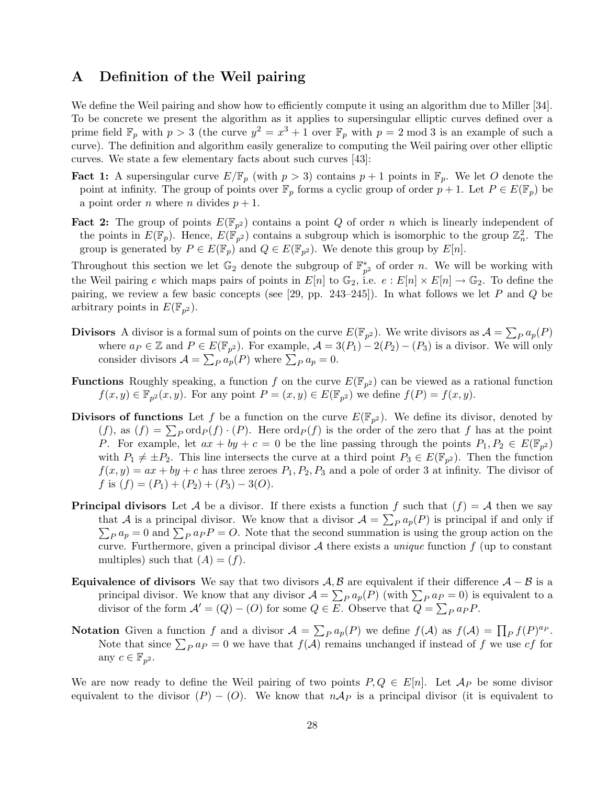### A Definition of the Weil pairing

We define the Weil pairing and show how to efficiently compute it using an algorithm due to Miller [34]. To be concrete we present the algorithm as it applies to supersingular elliptic curves defined over a prime field  $\mathbb{F}_p$  with  $p > 3$  (the curve  $y^2 = x^3 + 1$  over  $\mathbb{F}_p$  with  $p = 2 \mod 3$  is an example of such a curve). The definition and algorithm easily generalize to computing the Weil pairing over other elliptic curves. We state a few elementary facts about such curves [43]:

- **Fact 1:** A supersingular curve  $E/\mathbb{F}_p$  (with  $p > 3$ ) contains  $p + 1$  points in  $\mathbb{F}_p$ . We let O denote the point at infinity. The group of points over  $\mathbb{F}_p$  forms a cyclic group of order  $p + 1$ . Let  $P \in E(\mathbb{F}_p)$  be a point order *n* where *n* divides  $p + 1$ .
- **Fact 2:** The group of points  $E(\mathbb{F}_{p^2})$  contains a point Q of order n which is linearly independent of the points in  $E(\mathbb{F}_p)$ . Hence,  $E(\mathbb{F}_{p^2})$  contains a subgroup which is isomorphic to the group  $\mathbb{Z}_n^2$ . The group is generated by  $P \in E(\mathbb{F}_p)$  and  $Q \in E(\mathbb{F}_{p^2})$ . We denote this group by  $E[n]$ .

Throughout this section we let  $\mathbb{G}_2$  denote the subgroup of  $\mathbb{F}_{p^2}^*$  of order n. We will be working with the Weil pairing e which maps pairs of points in  $E[n]$  to  $\mathbb{G}_2$ , i.e.  $e: E[n] \times E[n] \to \mathbb{G}_2$ . To define the pairing, we review a few basic concepts (see [29, pp. 243–245]). In what follows we let P and Q be arbitrary points in  $E(\mathbb{F}_{p^2})$ .

- **Divisors** A divisor is a formal sum of points on the curve  $E(\mathbb{F}_{p^2})$ . We write divisors as  $\mathcal{A} = \sum_P a_p(P)$ where  $a_P \in \mathbb{Z}$  and  $P \in E(\mathbb{F}_{p^2})$ . For example,  $\mathcal{A} = 3(P_1) - 2(P_2) - (P_3)$  is a divisor. We will only consider divisors  $\mathcal{A} = \sum_{P} a_p(P)$  where  $\sum_{P} a_p = 0$ .
- **Functions** Roughly speaking, a function f on the curve  $E(\mathbb{F}_{p^2})$  can be viewed as a rational function  $f(x, y) \in \mathbb{F}_{p^2}(x, y)$ . For any point  $P = (x, y) \in E(\mathbb{F}_{p^2})$  we define  $f(P) = f(x, y)$ .
- **Divisors of functions** Let f be a function on the curve  $E(\mathbb{F}_{p^2})$ . We define its divisor, denoted by  $(f)$ , as  $(f) = \sum_P \text{ord}_P(f) \cdot (P)$ . Here  $\text{ord}_P(f)$  is the order of the zero that f has at the point P. For example, let  $ax + by + c = 0$  be the line passing through the points  $P_1, P_2 \in E(\mathbb{F}_{p^2})$ with  $P_1 \neq \pm P_2$ . This line intersects the curve at a third point  $P_3 \in E(\mathbb{F}_{p^2})$ . Then the function  $f(x, y) = ax + by + c$  has three zeroes  $P_1, P_2, P_3$  and a pole of order 3 at infinity. The divisor of f is  $(f) = (P_1) + (P_2) + (P_3) - 3(0)$ .
- **Principal divisors** Let A be a divisor. If there exists a function f such that  $(f) = A$  then we say that A is a principal divisor. We know that a divisor  $A = \sum_P a_p(P)$  is principal if and only if  $\sum_{P} a_P = 0$  and  $\sum_{P} a_P P = O$ . Note that the second summation is using the group action on the curve. Furthermore, given a principal divisor  $A$  there exists a *unique* function  $f$  (up to constant multiples) such that  $(A) = (f)$ .
- **Equivalence of divisors** We say that two divisors  $\mathcal{A}, \mathcal{B}$  are equivalent if their difference  $\mathcal{A} \mathcal{B}$  is a principal divisor. We know that any divisor  $\mathcal{A} = \sum_P a_p(P)$  (with  $\sum_P a_P = 0$ ) is equivalent to a divisor of the form  $\mathcal{A}' = (Q) - (O)$  for some  $Q \in E$ . Observe that  $Q = \sum_P a_P P$ .
- **Notation** Given a function f and a divisor  $A = \sum_P a_p(P)$  we define  $f(A)$  as  $f(A) = \prod_P f(P)^{a_P}$ . Note that since  $\sum_{P} a_P = 0$  we have that  $f(A)$  remains unchanged if instead of f we use cf for any  $c \in \mathbb{F}_{p^2}$ .

We are now ready to define the Weil pairing of two points  $P, Q \in E[n]$ . Let  $\mathcal{A}_P$  be some divisor equivalent to the divisor  $(P) - (O)$ . We know that  $n\mathcal{A}_P$  is a principal divisor (it is equivalent to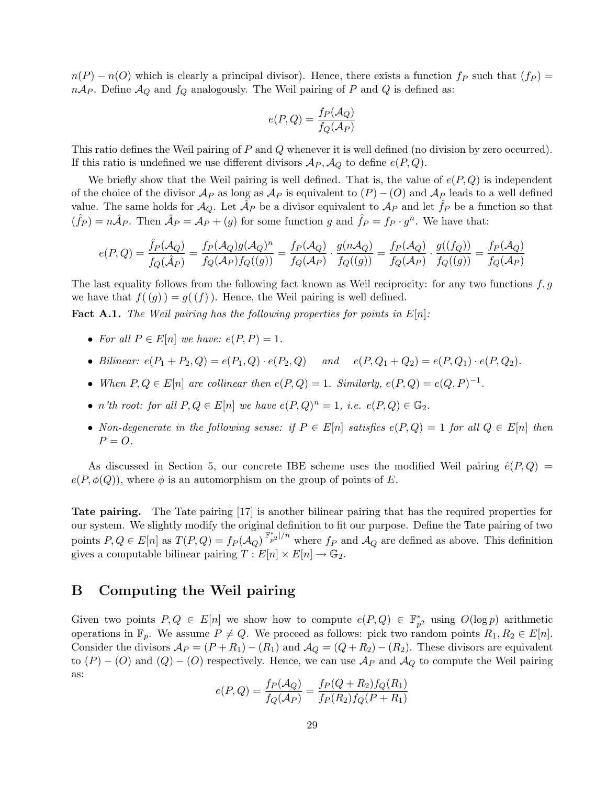$n(P) - n(O)$  which is clearly a principal divisor). Hence, there exists a function  $f_P$  such that  $(f_P)$  $nAp$ . Define  $A_Q$  and  $f_Q$  analogously. The Weil pairing of P and Q is defined as:

$$
e(P,Q) = \frac{f_P(\mathcal{A}_Q)}{f_Q(\mathcal{A}_P)}
$$

This ratio defines the Weil pairing of P and Q whenever it is well defined (no division by zero occurred). If this ratio is undefined we use different divisors  $\mathcal{A}_P$ ,  $\mathcal{A}_Q$  to define  $e(P, Q)$ .

We briefly show that the Weil pairing is well defined. That is, the value of  $e(P,Q)$  is independent of the choice of the divisor  $\mathcal{A}_P$  as long as  $\mathcal{A}_P$  is equivalent to  $(P) - (O)$  and  $\mathcal{A}_P$  leads to a well defined value. The same holds for  $A_Q$ . Let  $\hat{A}_P$  be a divisor equivalent to  $A_P$  and let  $\hat{f}_P$  be a function so that  $(\hat{f}_P) = n\hat{A}_P$ . Then  $\hat{A}_P = A_P + (g)$  for some function g and  $\hat{f}_P = f_P \cdot g^n$ . We have that:

$$
e(P,Q) = \frac{\hat{f}_P(\mathcal{A}_Q)}{f_Q(\hat{\mathcal{A}}_P)} = \frac{f_P(\mathcal{A}_Q)g(\mathcal{A}_Q)^n}{f_Q(\mathcal{A}_P)f_Q((g))} = \frac{f_P(\mathcal{A}_Q)}{f_Q(\mathcal{A}_P)} \cdot \frac{g(n\mathcal{A}_Q)}{f_Q((g))} = \frac{f_P(\mathcal{A}_Q)}{f_Q(\mathcal{A}_P)} \cdot \frac{g((f_Q))}{f_Q((g))} = \frac{f_P(\mathcal{A}_Q)}{f_Q(\mathcal{A}_P)}
$$

The last equality follows from the following fact known as Weil reciprocity: for any two functions  $f, g$ we have that  $f((g)) = g((f))$ . Hence, the Weil pairing is well defined.

**Fact A.1.** The Weil pairing has the following properties for points in  $E[n]$ :

- For all  $P \in E[n]$  we have:  $e(P, P) = 1$ .
- Bilinear:  $e(P_1 + P_2, Q) = e(P_1, Q) \cdot e(P_2, Q)$  and  $e(P, Q_1 + Q_2) = e(P, Q_1) \cdot e(P, Q_2)$ .
- When  $P, Q \in E[n]$  are collinear then  $e(P, Q) = 1$ . Similarly,  $e(P, Q) = e(Q, P)^{-1}$ .
- *n'th root: for all*  $P, Q \in E[n]$  we have  $e(P, Q)^n = 1$ , *i.e.*  $e(P, Q) \in \mathbb{G}_2$ .
- Non-degenerate in the following sense: if  $P \in E[n]$  satisfies  $e(P,Q) = 1$  for all  $Q \in E[n]$  then  $P = Q$ .

As discussed in Section 5, our concrete IBE scheme uses the modified Weil pairing  $\hat{e}(P,Q)$  =  $e(P, \phi(Q))$ , where  $\phi$  is an automorphism on the group of points of E.

Tate pairing. The Tate pairing [17] is another bilinear pairing that has the required properties for our system. We slightly modify the original definition to fit our purpose. Define the Tate pairing of two points  $P, Q \in E[n]$  as  $T(P, Q) = f_P(\mathcal{A}_Q)^{|\mathbb{F}_{p^2}^*|/n}$  where  $f_P$  and  $\mathcal{A}_Q$  are defined as above. This definition gives a computable bilinear pairing  $T : E[n] \times E[n] \rightarrow \mathbb{G}_2$ .

### B Computing the Weil pairing

Given two points  $P,Q \in E[n]$  we show how to compute  $e(P,Q) \in \mathbb{F}_{p^2}^*$  using  $O(\log p)$  arithmetic operations in  $\mathbb{F}_p$ . We assume  $P \neq Q$ . We proceed as follows: pick two random points  $R_1, R_2 \in E[n]$ . Consider the divisors  $\mathcal{A}_P = (P + R_1) - (R_1)$  and  $\mathcal{A}_Q = (Q + R_2) - (R_2)$ . These divisors are equivalent to  $(P) - (O)$  and  $(Q) - (O)$  respectively. Hence, we can use  $\mathcal{A}_P$  and  $\mathcal{A}_Q$  to compute the Weil pairing as:

$$
e(P,Q) = \frac{f_P(\mathcal{A}_Q)}{f_Q(\mathcal{A}_P)} = \frac{f_P(Q + R_2)f_Q(R_1)}{f_P(R_2)f_Q(P + R_1)}
$$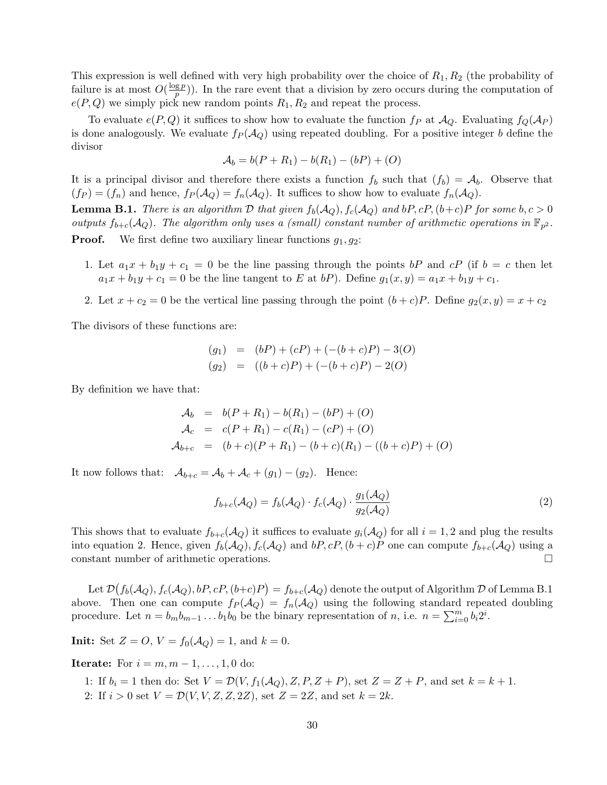This expression is well defined with very high probability over the choice of  $R_1, R_2$  (the probability of failure is at most  $O(\frac{\log p}{n})$  $\binom{gp}{p}$ ). In the rare event that a division by zero occurs during the computation of  $e(P,Q)$  we simply pick new random points  $R_1, R_2$  and repeat the process.

To evaluate  $e(P,Q)$  it suffices to show how to evaluate the function  $f_P$  at  $\mathcal{A}_Q$ . Evaluating  $f_Q(\mathcal{A}_P)$ is done analogously. We evaluate  $f_P(\mathcal{A}_Q)$  using repeated doubling. For a positive integer b define the divisor

$$
A_b = b(P + R_1) - b(R_1) - (bP) + (O)
$$

It is a principal divisor and therefore there exists a function  $f_b$  such that  $(f_b) = A_b$ . Observe that  $(f_P) = (f_n)$  and hence,  $f_P(\mathcal{A}_Q) = f_n(\mathcal{A}_Q)$ . It suffices to show how to evaluate  $f_n(\mathcal{A}_Q)$ .

**Lemma B.1.** There is an algorithm D that given  $f_b(A_Q)$ ,  $f_c(A_Q)$  and  $bP, cP, (b+c)P$  for some  $b, c > 0$ outputs  $f_{b+c}(\mathcal{A}_Q)$ . The algorithm only uses a (small) constant number of arithmetic operations in  $\mathbb{F}_{p^2}$ . **Proof.** We first define two auxiliary linear functions  $g_1, g_2$ :

- 1. Let  $a_1x + b_1y + c_1 = 0$  be the line passing through the points bP and cP (if  $b = c$  then let  $a_1x + b_1y + c_1 = 0$  be the line tangent to E at bP). Define  $g_1(x, y) = a_1x + b_1y + c_1$ .
- 2. Let  $x + c_2 = 0$  be the vertical line passing through the point  $(b + c)P$ . Define  $g_2(x, y) = x + c_2$

The divisors of these functions are:

$$
(g_1) = (bP) + (cP) + (-(b+c)P) - 3(O)
$$
  
\n
$$
(g_2) = ((b+c)P) + (-(b+c)P) - 2(O)
$$

By definition we have that:

$$
\begin{aligned}\n\mathcal{A}_b &= b(P + R_1) - b(R_1) - (bP) + (O) \\
\mathcal{A}_c &= c(P + R_1) - c(R_1) - (cP) + (O) \\
\mathcal{A}_{b+c} &= (b+c)(P + R_1) - (b+c)(R_1) - ((b+c)P) + (O)\n\end{aligned}
$$

It now follows that:  $\mathcal{A}_{b+c} = \mathcal{A}_b + \mathcal{A}_c + (g_1) - (g_2)$ . Hence:

$$
f_{b+c}(\mathcal{A}_{Q}) = f_b(\mathcal{A}_{Q}) \cdot f_c(\mathcal{A}_{Q}) \cdot \frac{g_1(\mathcal{A}_{Q})}{g_2(\mathcal{A}_{Q})}
$$
\n
$$
(2)
$$

This shows that to evaluate  $f_{b+c}(\mathcal{A}_Q)$  it suffices to evaluate  $g_i(\mathcal{A}_Q)$  for all  $i = 1, 2$  and plug the results into equation 2. Hence, given  $f_b(\mathcal{A}_Q)$ ,  $f_c(\mathcal{A}_Q)$  and  $bP, cP, (b+c)P$  one can compute  $f_{b+c}(\mathcal{A}_Q)$  using a constant number of arithmetic operations.

Let  $\mathcal{D}\big(f_b(\mathcal{A}_{Q}),f_c(\mathcal{A}_{Q}),bP,cP,(b+c)P\big)=f_{b+c}(\mathcal{A}_{Q})$  denote the output of Algorithm  $\mathcal D$  of Lemma B.1 above. Then one can compute  $f_P(\mathcal{A}_Q) = f_n(\mathcal{A}_Q)$  using the following standard repeated doubling procedure. Let  $n = b_m b_{m-1} \dots b_1 b_0$  be the binary representation of n, i.e.  $n = \sum_{i=0}^m b_i 2^i$ .

**Init:** Set  $Z = O, V = f_0(A_Q) = 1$ , and  $k = 0$ .

**Iterate:** For  $i = m, m - 1, \ldots, 1, 0$  do:

1: If  $b_i = 1$  then do: Set  $V = \mathcal{D}(V, f_1(\mathcal{A}_Q), Z, P, Z + P)$ , set  $Z = Z + P$ , and set  $k = k + 1$ . 2: If  $i > 0$  set  $V = \mathcal{D}(V, V, Z, Z, 2Z)$ , set  $Z = 2Z$ , and set  $k = 2k$ .